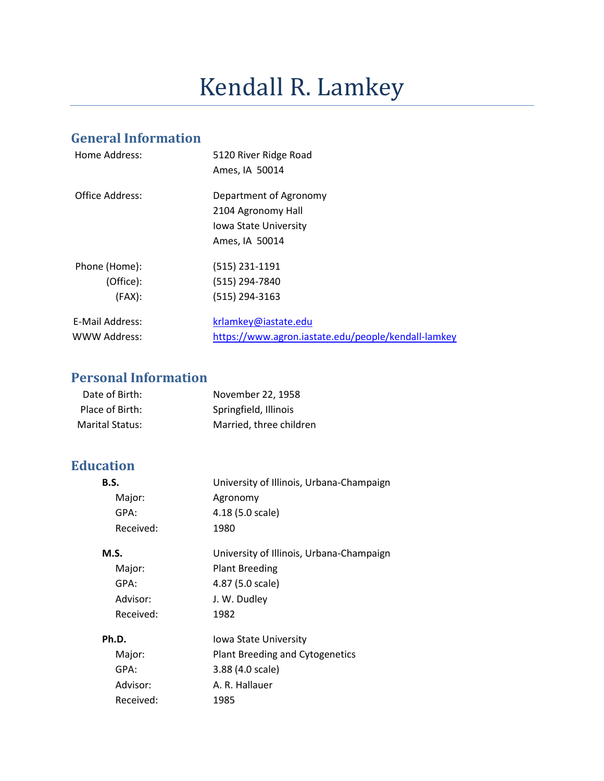# Kendall R. Lamkey

# **General Information**

| Home Address:   | 5120 River Ridge Road<br>Ames, IA 50014             |
|-----------------|-----------------------------------------------------|
|                 |                                                     |
| Office Address: | Department of Agronomy                              |
|                 | 2104 Agronomy Hall                                  |
|                 | Iowa State University                               |
|                 | Ames, IA 50014                                      |
| Phone (Home):   | (515) 231-1191                                      |
| (Office):       | (515) 294-7840                                      |
| (FAX):          | (515) 294-3163                                      |
| E-Mail Address: | krlamkey@iastate.edu                                |
| WWW Address:    | https://www.agron.iastate.edu/people/kendall-lamkey |
|                 |                                                     |

# **Personal Information**

| Date of Birth:  | November 22, 1958       |
|-----------------|-------------------------|
| Place of Birth: | Springfield, Illinois   |
| Marital Status: | Married, three children |

# **Education**

| <b>B.S.</b> | University of Illinois, Urbana-Champaign |
|-------------|------------------------------------------|
| Major:      | Agronomy                                 |
| GPA:        | 4.18 (5.0 scale)                         |
| Received:   | 1980                                     |
| <b>M.S.</b> | University of Illinois, Urbana-Champaign |
| Major:      | <b>Plant Breeding</b>                    |
| GPA:        | 4.87 (5.0 scale)                         |
| Advisor:    | J. W. Dudley                             |
| Received:   | 1982                                     |
| Ph.D.       | lowa State University                    |
| Major:      | Plant Breeding and Cytogenetics          |
| GPA:        | 3.88 (4.0 scale)                         |
| Advisor:    | A. R. Hallauer                           |
| Received:   | 1985                                     |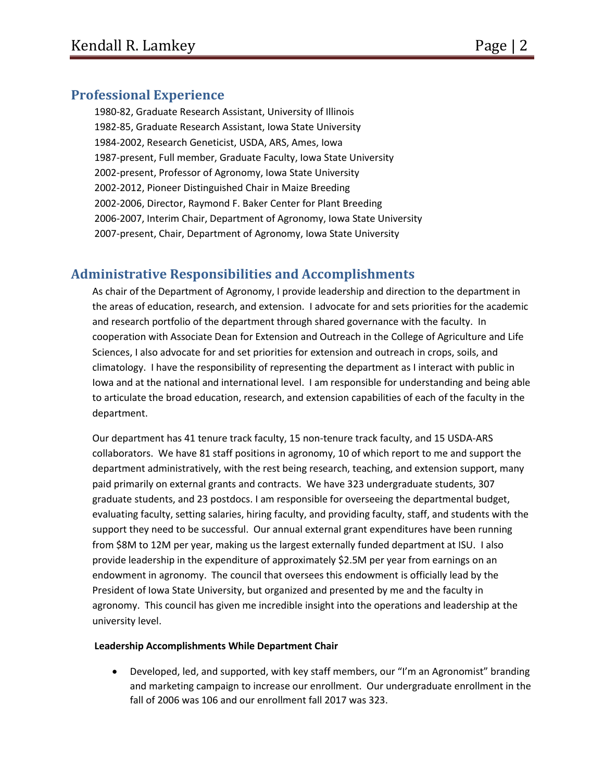# **Professional Experience**

1980-82, Graduate Research Assistant, University of Illinois 1982-85, Graduate Research Assistant, Iowa State University 1984-2002, Research Geneticist, USDA, ARS, Ames, Iowa 1987-present, Full member, Graduate Faculty, Iowa State University 2002-present, Professor of Agronomy, Iowa State University 2002-2012, Pioneer Distinguished Chair in Maize Breeding 2002-2006, Director, Raymond F. Baker Center for Plant Breeding 2006-2007, Interim Chair, Department of Agronomy, Iowa State University 2007-present, Chair, Department of Agronomy, Iowa State University

# **Administrative Responsibilities and Accomplishments**

As chair of the Department of Agronomy, I provide leadership and direction to the department in the areas of education, research, and extension. I advocate for and sets priorities for the academic and research portfolio of the department through shared governance with the faculty. In cooperation with Associate Dean for Extension and Outreach in the College of Agriculture and Life Sciences, I also advocate for and set priorities for extension and outreach in crops, soils, and climatology. I have the responsibility of representing the department as I interact with public in Iowa and at the national and international level. I am responsible for understanding and being able to articulate the broad education, research, and extension capabilities of each of the faculty in the department.

Our department has 41 tenure track faculty, 15 non-tenure track faculty, and 15 USDA-ARS collaborators. We have 81 staff positions in agronomy, 10 of which report to me and support the department administratively, with the rest being research, teaching, and extension support, many paid primarily on external grants and contracts. We have 323 undergraduate students, 307 graduate students, and 23 postdocs. I am responsible for overseeing the departmental budget, evaluating faculty, setting salaries, hiring faculty, and providing faculty, staff, and students with the support they need to be successful. Our annual external grant expenditures have been running from \$8M to 12M per year, making us the largest externally funded department at ISU. I also provide leadership in the expenditure of approximately \$2.5M per year from earnings on an endowment in agronomy. The council that oversees this endowment is officially lead by the President of Iowa State University, but organized and presented by me and the faculty in agronomy. This council has given me incredible insight into the operations and leadership at the university level.

#### **Leadership Accomplishments While Department Chair**

• Developed, led, and supported, with key staff members, our "I'm an Agronomist" branding and marketing campaign to increase our enrollment. Our undergraduate enrollment in the fall of 2006 was 106 and our enrollment fall 2017 was 323.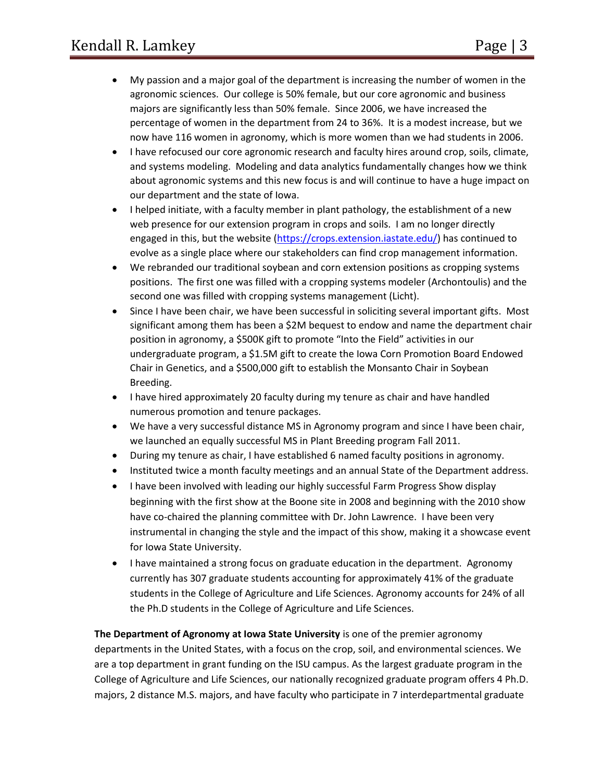- My passion and a major goal of the department is increasing the number of women in the agronomic sciences. Our college is 50% female, but our core agronomic and business majors are significantly less than 50% female. Since 2006, we have increased the percentage of women in the department from 24 to 36%. It is a modest increase, but we now have 116 women in agronomy, which is more women than we had students in 2006.
- I have refocused our core agronomic research and faculty hires around crop, soils, climate, and systems modeling. Modeling and data analytics fundamentally changes how we think about agronomic systems and this new focus is and will continue to have a huge impact on our department and the state of Iowa.
- I helped initiate, with a faculty member in plant pathology, the establishment of a new web presence for our extension program in crops and soils. I am no longer directly engaged in this, but the website [\(https://crops.extension.iastate.edu/\)](https://crops.extension.iastate.edu/) has continued to evolve as a single place where our stakeholders can find crop management information.
- We rebranded our traditional soybean and corn extension positions as cropping systems positions. The first one was filled with a cropping systems modeler (Archontoulis) and the second one was filled with cropping systems management (Licht).
- Since I have been chair, we have been successful in soliciting several important gifts. Most significant among them has been a \$2M bequest to endow and name the department chair position in agronomy, a \$500K gift to promote "Into the Field" activities in our undergraduate program, a \$1.5M gift to create the Iowa Corn Promotion Board Endowed Chair in Genetics, and a \$500,000 gift to establish the Monsanto Chair in Soybean Breeding.
- I have hired approximately 20 faculty during my tenure as chair and have handled numerous promotion and tenure packages.
- We have a very successful distance MS in Agronomy program and since I have been chair, we launched an equally successful MS in Plant Breeding program Fall 2011.
- During my tenure as chair, I have established 6 named faculty positions in agronomy.
- Instituted twice a month faculty meetings and an annual State of the Department address.
- I have been involved with leading our highly successful Farm Progress Show display beginning with the first show at the Boone site in 2008 and beginning with the 2010 show have co-chaired the planning committee with Dr. John Lawrence. I have been very instrumental in changing the style and the impact of this show, making it a showcase event for Iowa State University.
- I have maintained a strong focus on graduate education in the department. Agronomy currently has 307 graduate students accounting for approximately 41% of the graduate students in the College of Agriculture and Life Sciences. Agronomy accounts for 24% of all the Ph.D students in the College of Agriculture and Life Sciences.

**The Department of Agronomy at Iowa State University** is one of the premier agronomy departments in the United States, with a focus on the crop, soil, and environmental sciences. We are a top department in grant funding on the ISU campus. As the largest graduate program in the College of Agriculture and Life Sciences, our nationally recognized graduate program offers 4 Ph.D. majors, 2 distance M.S. majors, and have faculty who participate in 7 interdepartmental graduate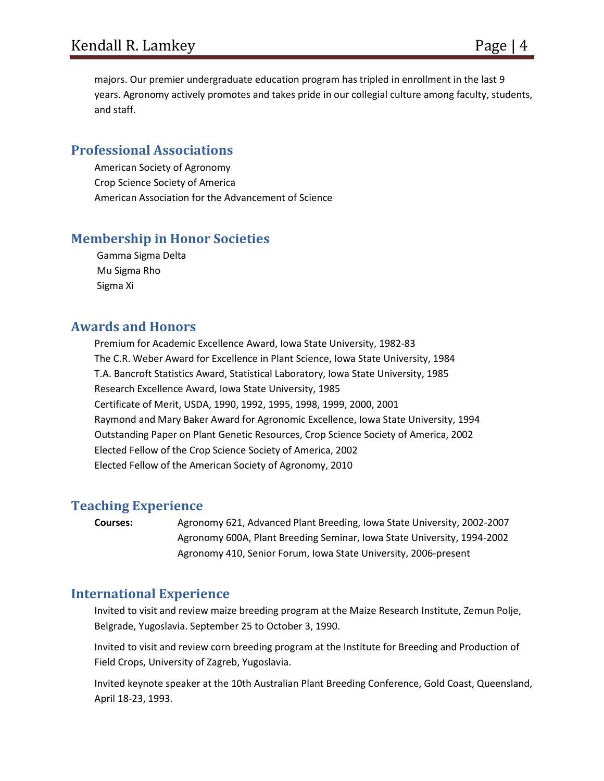majors. Our premier undergraduate education program has tripled in enrollment in the last 9 years. Agronomy actively promotes and takes pride in our collegial culture among faculty, students, and staff.

# **Professional Associations**

American Society of Agronomy Crop Science Society of America American Association for the Advancement of Science

# **Membership in Honor Societies**

Gamma Sigma Delta Mu Sigma Rho Sigma Xi

## **Awards and Honors**

Premium for Academic Excellence Award, Iowa State University, 1982-83 The C.R. Weber Award for Excellence in Plant Science, Iowa State University, 1984 T.A. Bancroft Statistics Award, Statistical Laboratory, Iowa State University, 1985 Research Excellence Award, Iowa State University, 1985 Certificate of Merit, USDA, 1990, 1992, 1995, 1998, 1999, 2000, 2001 Raymond and Mary Baker Award for Agronomic Excellence, Iowa State University, 1994 Outstanding Paper on Plant Genetic Resources, Crop Science Society of America, 2002 Elected Fellow of the Crop Science Society of America, 2002 Elected Fellow of the American Society of Agronomy, 2010

#### **Teaching Experience**

**Courses:** Agronomy 621, Advanced Plant Breeding, Iowa State University, 2002-2007 Agronomy 600A, Plant Breeding Seminar, Iowa State University, 1994-2002 Agronomy 410, Senior Forum, Iowa State University, 2006-present

#### **International Experience**

Invited to visit and review maize breeding program at the Maize Research Institute, Zemun Polje, Belgrade, Yugoslavia. September 25 to October 3, 1990.

Invited to visit and review corn breeding program at the Institute for Breeding and Production of Field Crops, University of Zagreb, Yugoslavia.

Invited keynote speaker at the 10th Australian Plant Breeding Conference, Gold Coast, Queensland, April 18-23, 1993.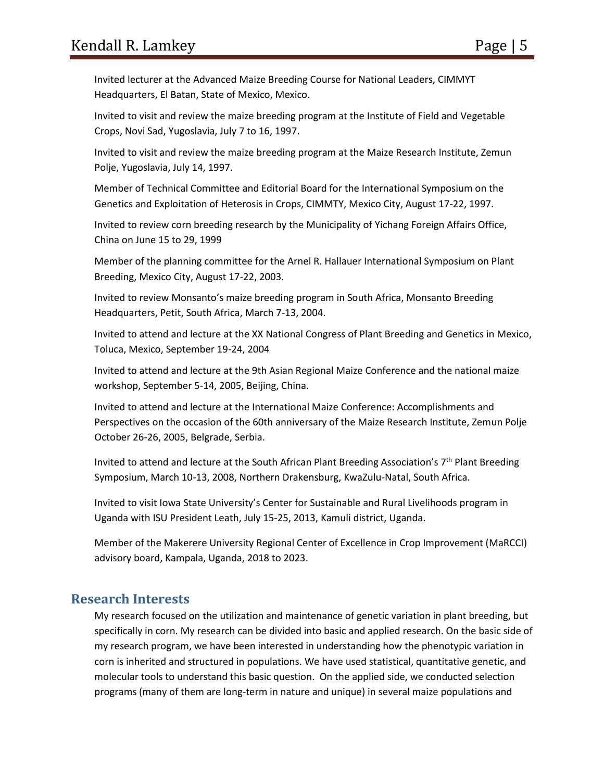Invited lecturer at the Advanced Maize Breeding Course for National Leaders, CIMMYT Headquarters, El Batan, State of Mexico, Mexico.

Invited to visit and review the maize breeding program at the Institute of Field and Vegetable Crops, Novi Sad, Yugoslavia, July 7 to 16, 1997.

Invited to visit and review the maize breeding program at the Maize Research Institute, Zemun Polje, Yugoslavia, July 14, 1997.

Member of Technical Committee and Editorial Board for the International Symposium on the Genetics and Exploitation of Heterosis in Crops, CIMMTY, Mexico City, August 17-22, 1997.

Invited to review corn breeding research by the Municipality of Yichang Foreign Affairs Office, China on June 15 to 29, 1999

Member of the planning committee for the Arnel R. Hallauer International Symposium on Plant Breeding, Mexico City, August 17-22, 2003.

Invited to review Monsanto's maize breeding program in South Africa, Monsanto Breeding Headquarters, Petit, South Africa, March 7-13, 2004.

Invited to attend and lecture at the XX National Congress of Plant Breeding and Genetics in Mexico, Toluca, Mexico, September 19-24, 2004

Invited to attend and lecture at the 9th Asian Regional Maize Conference and the national maize workshop, September 5-14, 2005, Beijing, China.

Invited to attend and lecture at the International Maize Conference: Accomplishments and Perspectives on the occasion of the 60th anniversary of the Maize Research Institute, Zemun Polje October 26-26, 2005, Belgrade, Serbia.

Invited to attend and lecture at the South African Plant Breeding Association's  $7<sup>th</sup>$  Plant Breeding Symposium, March 10-13, 2008, Northern Drakensburg, KwaZulu-Natal, South Africa.

Invited to visit Iowa State University's Center for Sustainable and Rural Livelihoods program in Uganda with ISU President Leath, July 15-25, 2013, Kamuli district, Uganda.

Member of the Makerere University Regional Center of Excellence in Crop Improvement (MaRCCI) advisory board, Kampala, Uganda, 2018 to 2023.

# **Research Interests**

My research focused on the utilization and maintenance of genetic variation in plant breeding, but specifically in corn. My research can be divided into basic and applied research. On the basic side of my research program, we have been interested in understanding how the phenotypic variation in corn is inherited and structured in populations. We have used statistical, quantitative genetic, and molecular tools to understand this basic question. On the applied side, we conducted selection programs (many of them are long-term in nature and unique) in several maize populations and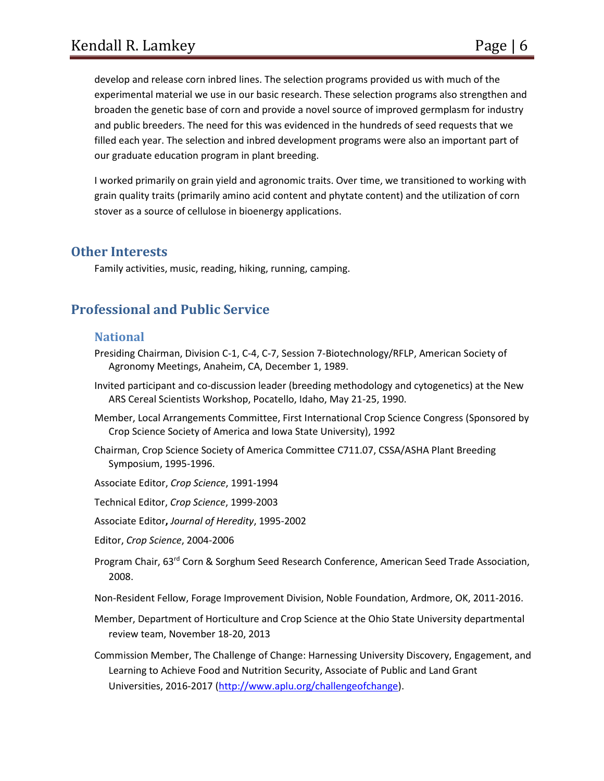develop and release corn inbred lines. The selection programs provided us with much of the experimental material we use in our basic research. These selection programs also strengthen and broaden the genetic base of corn and provide a novel source of improved germplasm for industry and public breeders. The need for this was evidenced in the hundreds of seed requests that we filled each year. The selection and inbred development programs were also an important part of our graduate education program in plant breeding.

I worked primarily on grain yield and agronomic traits. Over time, we transitioned to working with grain quality traits (primarily amino acid content and phytate content) and the utilization of corn stover as a source of cellulose in bioenergy applications.

#### **Other Interests**

Family activities, music, reading, hiking, running, camping.

# **Professional and Public Service**

#### **National**

- Presiding Chairman, Division C-1, C-4, C-7, Session 7-Biotechnology/RFLP, American Society of Agronomy Meetings, Anaheim, CA, December 1, 1989.
- Invited participant and co-discussion leader (breeding methodology and cytogenetics) at the New ARS Cereal Scientists Workshop, Pocatello, Idaho, May 21-25, 1990.
- Member, Local Arrangements Committee, First International Crop Science Congress (Sponsored by Crop Science Society of America and Iowa State University), 1992
- Chairman, Crop Science Society of America Committee C711.07, CSSA/ASHA Plant Breeding Symposium, 1995-1996.
- Associate Editor, *Crop Science*, 1991-1994
- Technical Editor, *Crop Science*, 1999-2003
- Associate Editor**,** *Journal of Heredity*, 1995-2002
- Editor, *Crop Science*, 2004-2006
- Program Chair, 63<sup>rd</sup> Corn & Sorghum Seed Research Conference, American Seed Trade Association, 2008.

Non-Resident Fellow, Forage Improvement Division, Noble Foundation, Ardmore, OK, 2011-2016.

- Member, Department of Horticulture and Crop Science at the Ohio State University departmental review team, November 18-20, 2013
- Commission Member, The Challenge of Change: Harnessing University Discovery, Engagement, and Learning to Achieve Food and Nutrition Security, Associate of Public and Land Grant Universities, 2016-2017 [\(http://www.aplu.org/challengeofchange\)](http://www.aplu.org/challengeofchange).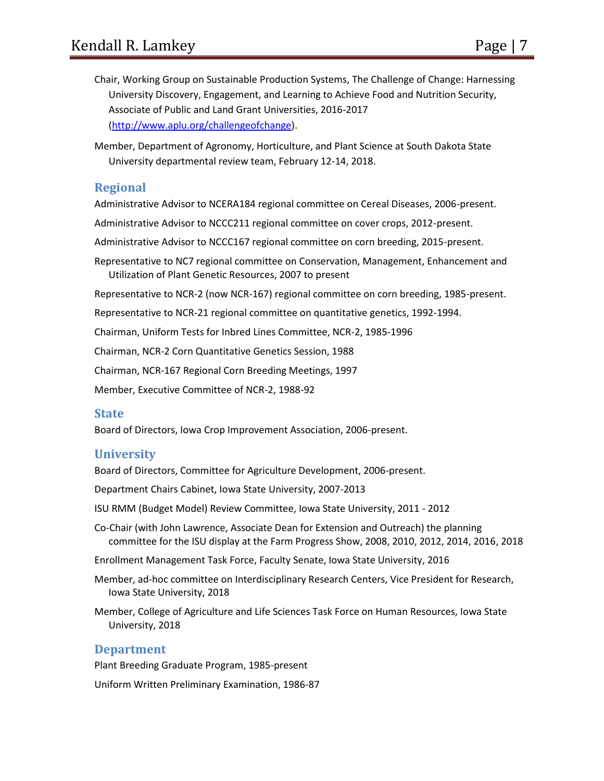Chair, Working Group on Sustainable Production Systems, The Challenge of Change: Harnessing University Discovery, Engagement, and Learning to Achieve Food and Nutrition Security, Associate of Public and Land Grant Universities, 2016-2017 [\(http://www.aplu.org/challengeofchange\)](http://www.aplu.org/challengeofchange).

Member, Department of Agronomy, Horticulture, and Plant Science at South Dakota State University departmental review team, February 12-14, 2018.

#### **Regional**

Administrative Advisor to NCERA184 regional committee on Cereal Diseases, 2006-present.

Administrative Advisor to NCCC211 regional committee on cover crops, 2012-present.

Administrative Advisor to NCCC167 regional committee on corn breeding, 2015-present.

Representative to NC7 regional committee on Conservation, Management, Enhancement and Utilization of Plant Genetic Resources, 2007 to present

Representative to NCR-2 (now NCR-167) regional committee on corn breeding, 1985-present.

Representative to NCR-21 regional committee on quantitative genetics, 1992-1994.

Chairman, Uniform Tests for Inbred Lines Committee, NCR-2, 1985-1996

Chairman, NCR-2 Corn Quantitative Genetics Session, 1988

Chairman, NCR-167 Regional Corn Breeding Meetings, 1997

Member, Executive Committee of NCR-2, 1988-92

#### **State**

Board of Directors, Iowa Crop Improvement Association, 2006-present.

#### **University**

Board of Directors, Committee for Agriculture Development, 2006-present.

Department Chairs Cabinet, Iowa State University, 2007-2013

ISU RMM (Budget Model) Review Committee, Iowa State University, 2011 - 2012

- Co-Chair (with John Lawrence, Associate Dean for Extension and Outreach) the planning committee for the ISU display at the Farm Progress Show, 2008, 2010, 2012, 2014, 2016, 2018
- Enrollment Management Task Force, Faculty Senate, Iowa State University, 2016
- Member, ad-hoc committee on Interdisciplinary Research Centers, Vice President for Research, Iowa State University, 2018
- Member, College of Agriculture and Life Sciences Task Force on Human Resources, Iowa State University, 2018

#### **Department**

Plant Breeding Graduate Program, 1985-present

Uniform Written Preliminary Examination, 1986-87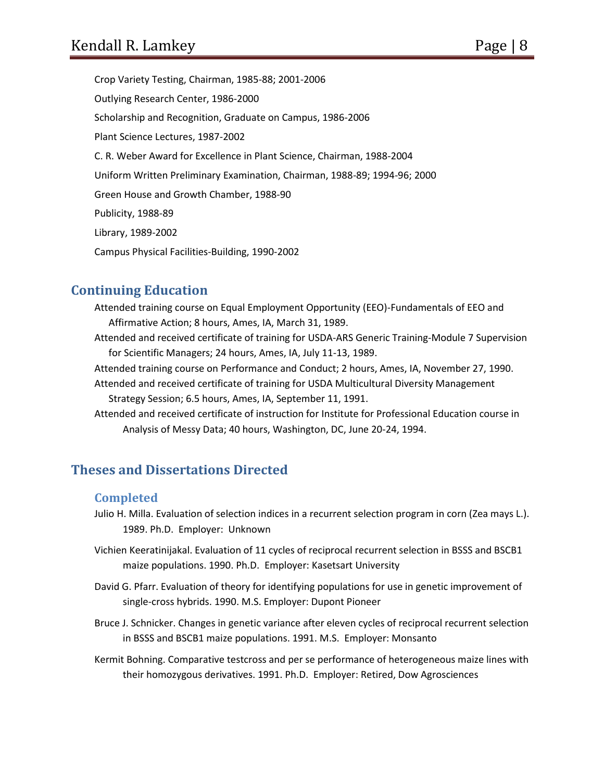Crop Variety Testing, Chairman, 1985-88; 2001-2006 Outlying Research Center, 1986-2000 Scholarship and Recognition, Graduate on Campus, 1986-2006 Plant Science Lectures, 1987-2002 C. R. Weber Award for Excellence in Plant Science, Chairman, 1988-2004 Uniform Written Preliminary Examination, Chairman, 1988-89; 1994-96; 2000 Green House and Growth Chamber, 1988-90 Publicity, 1988-89 Library, 1989-2002 Campus Physical Facilities-Building, 1990-2002

# **Continuing Education**

- Attended training course on Equal Employment Opportunity (EEO)-Fundamentals of EEO and Affirmative Action; 8 hours, Ames, IA, March 31, 1989.
- Attended and received certificate of training for USDA-ARS Generic Training-Module 7 Supervision for Scientific Managers; 24 hours, Ames, IA, July 11-13, 1989.
- Attended training course on Performance and Conduct; 2 hours, Ames, IA, November 27, 1990.
- Attended and received certificate of training for USDA Multicultural Diversity Management Strategy Session; 6.5 hours, Ames, IA, September 11, 1991.
- Attended and received certificate of instruction for Institute for Professional Education course in Analysis of Messy Data; 40 hours, Washington, DC, June 20-24, 1994.

# **Theses and Dissertations Directed**

#### **Completed**

- Julio H. Milla. Evaluation of selection indices in a recurrent selection program in corn (Zea mays L.). 1989. Ph.D. Employer: Unknown
- Vichien Keeratinijakal. Evaluation of 11 cycles of reciprocal recurrent selection in BSSS and BSCB1 maize populations. 1990. Ph.D. Employer: Kasetsart University
- David G. Pfarr. Evaluation of theory for identifying populations for use in genetic improvement of single-cross hybrids. 1990. M.S. Employer: Dupont Pioneer
- Bruce J. Schnicker. Changes in genetic variance after eleven cycles of reciprocal recurrent selection in BSSS and BSCB1 maize populations. 1991. M.S. Employer: Monsanto
- Kermit Bohning. Comparative testcross and per se performance of heterogeneous maize lines with their homozygous derivatives. 1991. Ph.D. Employer: Retired, Dow Agrosciences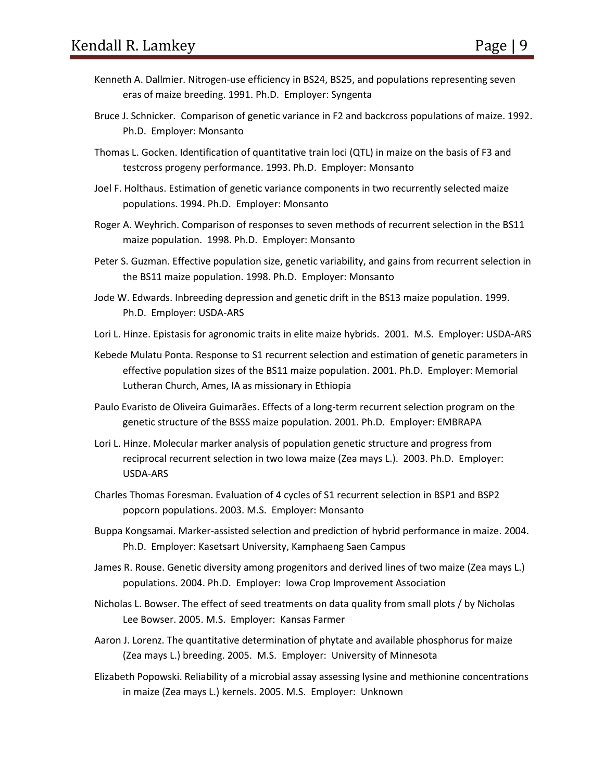- Kenneth A. Dallmier. Nitrogen-use efficiency in BS24, BS25, and populations representing seven eras of maize breeding. 1991. Ph.D. Employer: Syngenta
- Bruce J. Schnicker. Comparison of genetic variance in F2 and backcross populations of maize. 1992. Ph.D. Employer: Monsanto
- Thomas L. Gocken. Identification of quantitative train loci (QTL) in maize on the basis of F3 and testcross progeny performance. 1993. Ph.D. Employer: Monsanto
- Joel F. Holthaus. Estimation of genetic variance components in two recurrently selected maize populations. 1994. Ph.D. Employer: Monsanto
- Roger A. Weyhrich. Comparison of responses to seven methods of recurrent selection in the BS11 maize population. 1998. Ph.D. Employer: Monsanto
- Peter S. Guzman. Effective population size, genetic variability, and gains from recurrent selection in the BS11 maize population. 1998. Ph.D. Employer: Monsanto
- Jode W. Edwards. Inbreeding depression and genetic drift in the BS13 maize population. 1999. Ph.D. Employer: USDA-ARS
- Lori L. Hinze. Epistasis for agronomic traits in elite maize hybrids. 2001. M.S. Employer: USDA-ARS
- Kebede Mulatu Ponta. Response to S1 recurrent selection and estimation of genetic parameters in effective population sizes of the BS11 maize population. 2001. Ph.D. Employer: Memorial Lutheran Church, Ames, IA as missionary in Ethiopia
- Paulo Evaristo de Oliveira Guimarães. Effects of a long-term recurrent selection program on the genetic structure of the BSSS maize population. 2001. Ph.D. Employer: EMBRAPA
- Lori L. Hinze. Molecular marker analysis of population genetic structure and progress from reciprocal recurrent selection in two Iowa maize (Zea mays L.). 2003. Ph.D. Employer: USDA-ARS
- Charles Thomas Foresman. Evaluation of 4 cycles of S1 recurrent selection in BSP1 and BSP2 popcorn populations. 2003. M.S. Employer: Monsanto
- Buppa Kongsamai. Marker-assisted selection and prediction of hybrid performance in maize. 2004. Ph.D. Employer: Kasetsart University, Kamphaeng Saen Campus
- James R. Rouse. Genetic diversity among progenitors and derived lines of two maize (Zea mays L.) populations. 2004. Ph.D. Employer: Iowa Crop Improvement Association
- Nicholas L. Bowser. The effect of seed treatments on data quality from small plots / by Nicholas Lee Bowser. 2005. M.S. Employer: Kansas Farmer
- Aaron J. Lorenz. The quantitative determination of phytate and available phosphorus for maize (Zea mays L.) breeding. 2005. M.S. Employer: University of Minnesota
- Elizabeth Popowski. Reliability of a microbial assay assessing lysine and methionine concentrations in maize (Zea mays L.) kernels. 2005. M.S. Employer: Unknown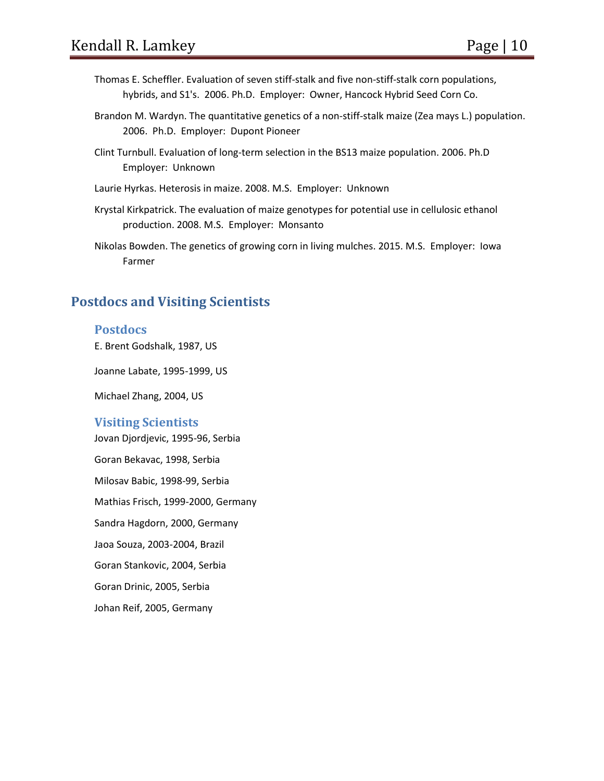- Thomas E. Scheffler. Evaluation of seven stiff-stalk and five non-stiff-stalk corn populations, hybrids, and S1's. 2006. Ph.D. Employer: Owner, Hancock Hybrid Seed Corn Co.
- Brandon M. Wardyn. The quantitative genetics of a non-stiff-stalk maize (Zea mays L.) population. 2006. Ph.D. Employer: Dupont Pioneer
- Clint Turnbull. Evaluation of long-term selection in the BS13 maize population. 2006. Ph.D Employer: Unknown
- Laurie Hyrkas. Heterosis in maize. 2008. M.S. Employer: Unknown
- Krystal Kirkpatrick. The evaluation of maize genotypes for potential use in cellulosic ethanol production. 2008. M.S. Employer: Monsanto
- Nikolas Bowden. The genetics of growing corn in living mulches. 2015. M.S. Employer: Iowa Farmer

# **Postdocs and Visiting Scientists**

#### **Postdocs**

E. Brent Godshalk, 1987, US

Joanne Labate, 1995-1999, US

Michael Zhang, 2004, US

#### **Visiting Scientists**

Jovan Djordjevic, 1995-96, Serbia Goran Bekavac, 1998, Serbia Milosav Babic, 1998-99, Serbia Mathias Frisch, 1999-2000, Germany Sandra Hagdorn, 2000, Germany Jaoa Souza, 2003-2004, Brazil Goran Stankovic, 2004, Serbia Goran Drinic, 2005, Serbia Johan Reif, 2005, Germany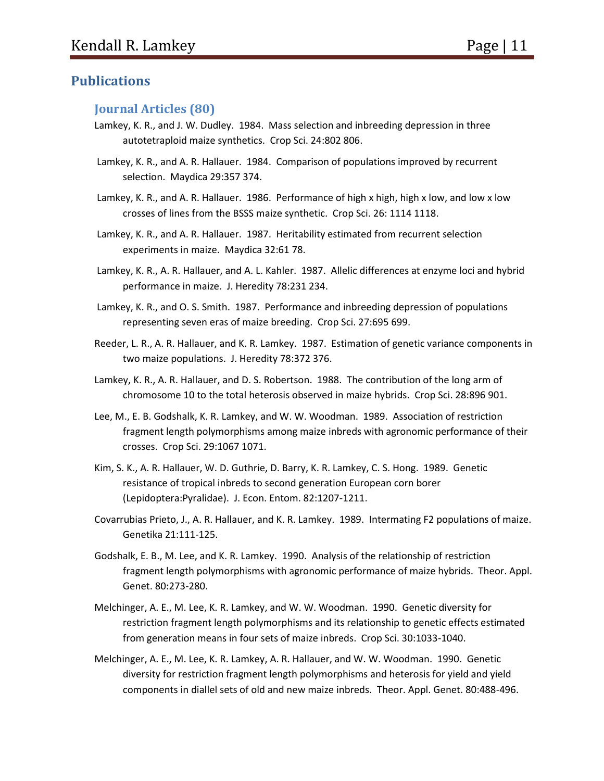## **Publications**

#### **Journal Articles (80)**

- Lamkey, K. R., and J. W. Dudley. 1984. Mass selection and inbreeding depression in three autotetraploid maize synthetics. Crop Sci. 24:802 806.
- Lamkey, K. R., and A. R. Hallauer. 1984. Comparison of populations improved by recurrent selection. Maydica 29:357 374.
- Lamkey, K. R., and A. R. Hallauer. 1986. Performance of high x high, high x low, and low x low crosses of lines from the BSSS maize synthetic. Crop Sci. 26: 1114 1118.
- Lamkey, K. R., and A. R. Hallauer. 1987. Heritability estimated from recurrent selection experiments in maize. Maydica 32:61 78.
- Lamkey, K. R., A. R. Hallauer, and A. L. Kahler. 1987. Allelic differences at enzyme loci and hybrid performance in maize. J. Heredity 78:231 234.
- Lamkey, K. R., and O. S. Smith. 1987. Performance and inbreeding depression of populations representing seven eras of maize breeding. Crop Sci. 27:695 699.
- Reeder, L. R., A. R. Hallauer, and K. R. Lamkey. 1987. Estimation of genetic variance components in two maize populations. J. Heredity 78:372 376.
- Lamkey, K. R., A. R. Hallauer, and D. S. Robertson. 1988. The contribution of the long arm of chromosome 10 to the total heterosis observed in maize hybrids. Crop Sci. 28:896 901.
- Lee, M., E. B. Godshalk, K. R. Lamkey, and W. W. Woodman. 1989. Association of restriction fragment length polymorphisms among maize inbreds with agronomic performance of their crosses. Crop Sci. 29:1067 1071.
- Kim, S. K., A. R. Hallauer, W. D. Guthrie, D. Barry, K. R. Lamkey, C. S. Hong. 1989. Genetic resistance of tropical inbreds to second generation European corn borer (Lepidoptera:Pyralidae). J. Econ. Entom. 82:1207-1211.
- Covarrubias Prieto, J., A. R. Hallauer, and K. R. Lamkey. 1989. Intermating F2 populations of maize. Genetika 21:111-125.
- Godshalk, E. B., M. Lee, and K. R. Lamkey. 1990. Analysis of the relationship of restriction fragment length polymorphisms with agronomic performance of maize hybrids. Theor. Appl. Genet. 80:273-280.
- Melchinger, A. E., M. Lee, K. R. Lamkey, and W. W. Woodman. 1990. Genetic diversity for restriction fragment length polymorphisms and its relationship to genetic effects estimated from generation means in four sets of maize inbreds. Crop Sci. 30:1033-1040.
- Melchinger, A. E., M. Lee, K. R. Lamkey, A. R. Hallauer, and W. W. Woodman. 1990. Genetic diversity for restriction fragment length polymorphisms and heterosis for yield and yield components in diallel sets of old and new maize inbreds. Theor. Appl. Genet. 80:488-496.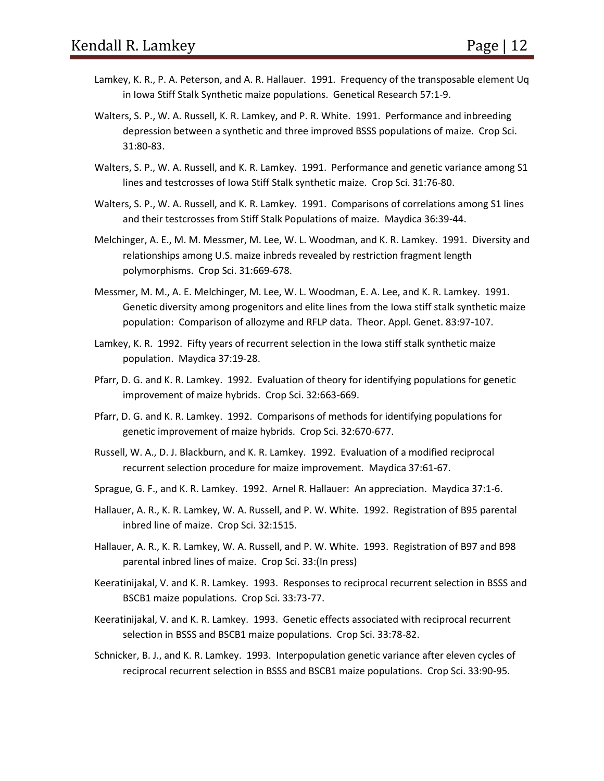- Lamkey, K. R., P. A. Peterson, and A. R. Hallauer. 1991. Frequency of the transposable element Uq in Iowa Stiff Stalk Synthetic maize populations. Genetical Research 57:1-9.
- Walters, S. P., W. A. Russell, K. R. Lamkey, and P. R. White. 1991. Performance and inbreeding depression between a synthetic and three improved BSSS populations of maize. Crop Sci. 31:80-83.
- Walters, S. P., W. A. Russell, and K. R. Lamkey. 1991. Performance and genetic variance among S1 lines and testcrosses of Iowa Stiff Stalk synthetic maize. Crop Sci. 31:76-80.
- Walters, S. P., W. A. Russell, and K. R. Lamkey. 1991. Comparisons of correlations among S1 lines and their testcrosses from Stiff Stalk Populations of maize. Maydica 36:39-44.
- Melchinger, A. E., M. M. Messmer, M. Lee, W. L. Woodman, and K. R. Lamkey. 1991. Diversity and relationships among U.S. maize inbreds revealed by restriction fragment length polymorphisms. Crop Sci. 31:669-678.
- Messmer, M. M., A. E. Melchinger, M. Lee, W. L. Woodman, E. A. Lee, and K. R. Lamkey. 1991. Genetic diversity among progenitors and elite lines from the Iowa stiff stalk synthetic maize population: Comparison of allozyme and RFLP data. Theor. Appl. Genet. 83:97-107.
- Lamkey, K. R. 1992. Fifty years of recurrent selection in the Iowa stiff stalk synthetic maize population. Maydica 37:19-28.
- Pfarr, D. G. and K. R. Lamkey. 1992. Evaluation of theory for identifying populations for genetic improvement of maize hybrids. Crop Sci. 32:663-669.
- Pfarr, D. G. and K. R. Lamkey. 1992. Comparisons of methods for identifying populations for genetic improvement of maize hybrids. Crop Sci. 32:670-677.
- Russell, W. A., D. J. Blackburn, and K. R. Lamkey. 1992. Evaluation of a modified reciprocal recurrent selection procedure for maize improvement. Maydica 37:61-67.
- Sprague, G. F., and K. R. Lamkey. 1992. Arnel R. Hallauer: An appreciation. Maydica 37:1-6.
- Hallauer, A. R., K. R. Lamkey, W. A. Russell, and P. W. White. 1992. Registration of B95 parental inbred line of maize. Crop Sci. 32:1515.
- Hallauer, A. R., K. R. Lamkey, W. A. Russell, and P. W. White. 1993. Registration of B97 and B98 parental inbred lines of maize. Crop Sci. 33:(In press)
- Keeratinijakal, V. and K. R. Lamkey. 1993. Responses to reciprocal recurrent selection in BSSS and BSCB1 maize populations. Crop Sci. 33:73-77.
- Keeratinijakal, V. and K. R. Lamkey. 1993. Genetic effects associated with reciprocal recurrent selection in BSSS and BSCB1 maize populations. Crop Sci. 33:78-82.
- Schnicker, B. J., and K. R. Lamkey. 1993. Interpopulation genetic variance after eleven cycles of reciprocal recurrent selection in BSSS and BSCB1 maize populations. Crop Sci. 33:90-95.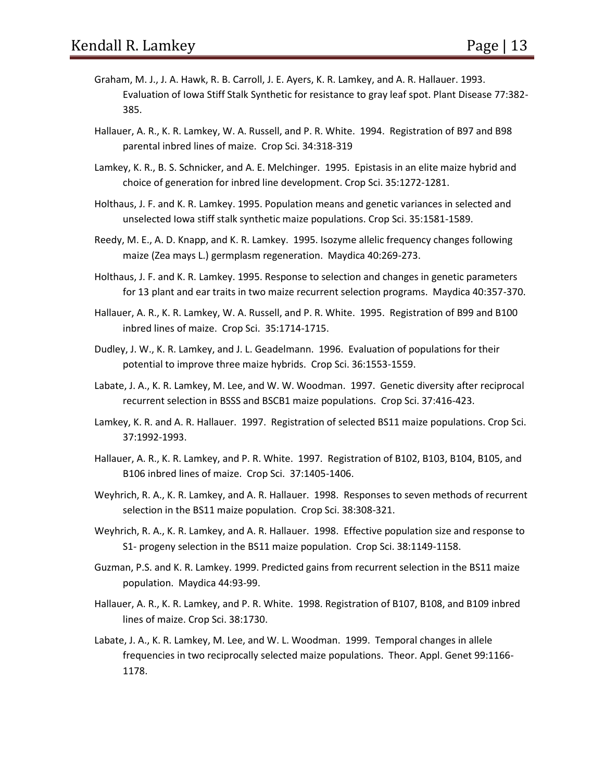- Graham, M. J., J. A. Hawk, R. B. Carroll, J. E. Ayers, K. R. Lamkey, and A. R. Hallauer. 1993. Evaluation of Iowa Stiff Stalk Synthetic for resistance to gray leaf spot. Plant Disease 77:382- 385.
- Hallauer, A. R., K. R. Lamkey, W. A. Russell, and P. R. White. 1994. Registration of B97 and B98 parental inbred lines of maize. Crop Sci. 34:318-319
- Lamkey, K. R., B. S. Schnicker, and A. E. Melchinger. 1995. Epistasis in an elite maize hybrid and choice of generation for inbred line development. Crop Sci. 35:1272-1281.
- Holthaus, J. F. and K. R. Lamkey. 1995. Population means and genetic variances in selected and unselected Iowa stiff stalk synthetic maize populations. Crop Sci. 35:1581-1589.
- Reedy, M. E., A. D. Knapp, and K. R. Lamkey. 1995. Isozyme allelic frequency changes following maize (Zea mays L.) germplasm regeneration. Maydica 40:269-273.
- Holthaus, J. F. and K. R. Lamkey. 1995. Response to selection and changes in genetic parameters for 13 plant and ear traits in two maize recurrent selection programs. Maydica 40:357-370.
- Hallauer, A. R., K. R. Lamkey, W. A. Russell, and P. R. White. 1995. Registration of B99 and B100 inbred lines of maize. Crop Sci. 35:1714-1715.
- Dudley, J. W., K. R. Lamkey, and J. L. Geadelmann. 1996. Evaluation of populations for their potential to improve three maize hybrids. Crop Sci. 36:1553-1559.
- Labate, J. A., K. R. Lamkey, M. Lee, and W. W. Woodman. 1997. Genetic diversity after reciprocal recurrent selection in BSSS and BSCB1 maize populations. Crop Sci. 37:416-423.
- Lamkey, K. R. and A. R. Hallauer. 1997. Registration of selected BS11 maize populations. Crop Sci. 37:1992-1993.
- Hallauer, A. R., K. R. Lamkey, and P. R. White. 1997. Registration of B102, B103, B104, B105, and B106 inbred lines of maize. Crop Sci. 37:1405-1406.
- Weyhrich, R. A., K. R. Lamkey, and A. R. Hallauer. 1998. Responses to seven methods of recurrent selection in the BS11 maize population. Crop Sci. 38:308-321.
- Weyhrich, R. A., K. R. Lamkey, and A. R. Hallauer. 1998. Effective population size and response to S1- progeny selection in the BS11 maize population. Crop Sci. 38:1149-1158.
- Guzman, P.S. and K. R. Lamkey. 1999. Predicted gains from recurrent selection in the BS11 maize population. Maydica 44:93-99.
- Hallauer, A. R., K. R. Lamkey, and P. R. White. 1998. Registration of B107, B108, and B109 inbred lines of maize. Crop Sci. 38:1730.
- Labate, J. A., K. R. Lamkey, M. Lee, and W. L. Woodman. 1999. Temporal changes in allele frequencies in two reciprocally selected maize populations. Theor. Appl. Genet 99:1166- 1178.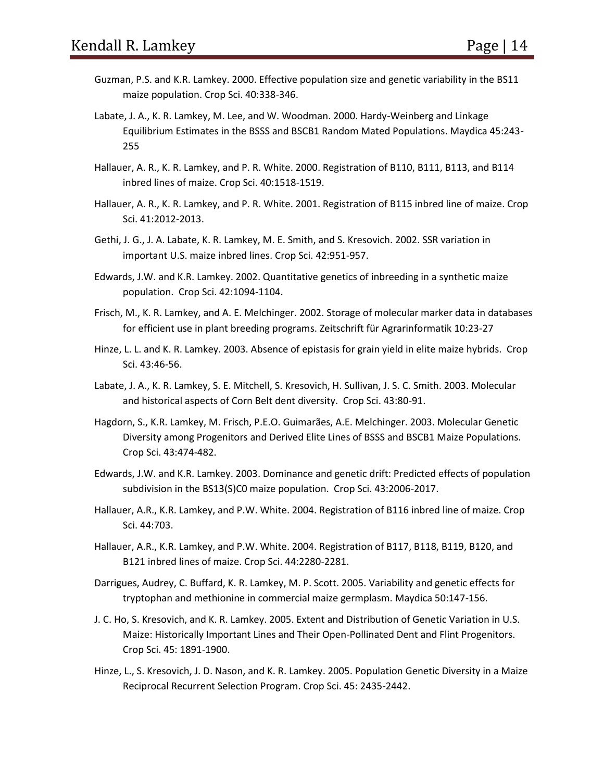- Guzman, P.S. and K.R. Lamkey. 2000. Effective population size and genetic variability in the BS11 maize population. Crop Sci. 40:338-346.
- Labate, J. A., K. R. Lamkey, M. Lee, and W. Woodman. 2000. Hardy-Weinberg and Linkage Equilibrium Estimates in the BSSS and BSCB1 Random Mated Populations. Maydica 45:243- 255
- Hallauer, A. R., K. R. Lamkey, and P. R. White. 2000. Registration of B110, B111, B113, and B114 inbred lines of maize. Crop Sci. 40:1518-1519.
- Hallauer, A. R., K. R. Lamkey, and P. R. White. 2001. Registration of B115 inbred line of maize. Crop Sci. 41:2012-2013.
- Gethi, J. G., J. A. Labate, K. R. Lamkey, M. E. Smith, and S. Kresovich. 2002. SSR variation in important U.S. maize inbred lines. Crop Sci. 42:951-957.
- Edwards, J.W. and K.R. Lamkey. 2002. Quantitative genetics of inbreeding in a synthetic maize population. Crop Sci. 42:1094-1104.
- Frisch, M., K. R. Lamkey, and A. E. Melchinger. 2002. Storage of molecular marker data in databases for efficient use in plant breeding programs. Zeitschrift für Agrarinformatik 10:23-27
- Hinze, L. L. and K. R. Lamkey. 2003. Absence of epistasis for grain yield in elite maize hybrids. Crop Sci. 43:46-56.
- Labate, J. A., K. R. Lamkey, S. E. Mitchell, S. Kresovich, H. Sullivan, J. S. C. Smith. 2003. Molecular and historical aspects of Corn Belt dent diversity. Crop Sci. 43:80-91.
- Hagdorn, S., K.R. Lamkey, M. Frisch, P.E.O. Guimarães, A.E. Melchinger. 2003. Molecular Genetic Diversity among Progenitors and Derived Elite Lines of BSSS and BSCB1 Maize Populations. Crop Sci. 43:474-482.
- Edwards, J.W. and K.R. Lamkey. 2003. Dominance and genetic drift: Predicted effects of population subdivision in the BS13(S)C0 maize population. Crop Sci. 43:2006-2017.
- Hallauer, A.R., K.R. Lamkey, and P.W. White. 2004. Registration of B116 inbred line of maize. Crop Sci. 44:703.
- Hallauer, A.R., K.R. Lamkey, and P.W. White. 2004. Registration of B117, B118, B119, B120, and B121 inbred lines of maize. Crop Sci. 44:2280-2281.
- Darrigues, Audrey, C. Buffard, K. R. Lamkey, M. P. Scott. 2005. Variability and genetic effects for tryptophan and methionine in commercial maize germplasm. Maydica 50:147-156.
- J. C. Ho, S. Kresovich, and K. R. Lamkey. 2005. Extent and Distribution of Genetic Variation in U.S. Maize: Historically Important Lines and Their Open-Pollinated Dent and Flint Progenitors. Crop Sci. 45: 1891-1900.
- Hinze, L., S. Kresovich, J. D. Nason, and K. R. Lamkey. 2005. Population Genetic Diversity in a Maize Reciprocal Recurrent Selection Program. Crop Sci. 45: 2435-2442.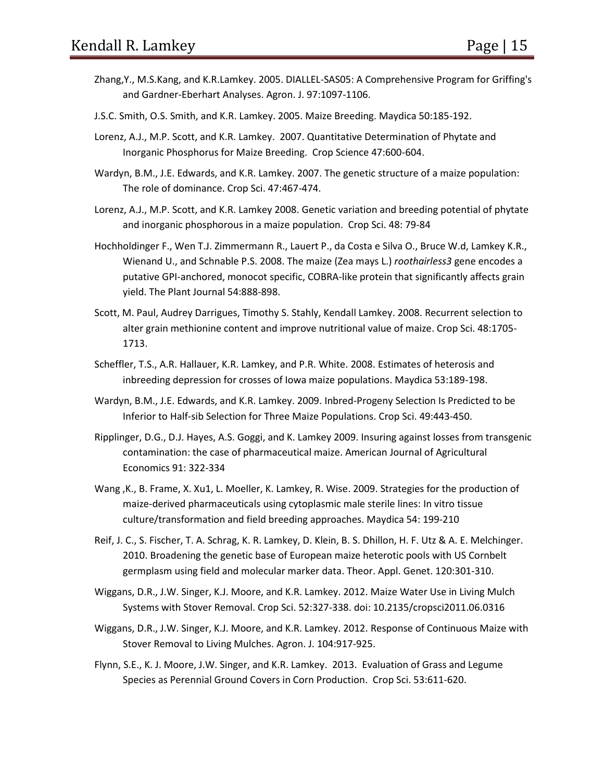- Zhang,Y., M.S.Kang, and K.R.Lamkey. 2005. DIALLEL-SAS05: A Comprehensive Program for Griffing's and Gardner-Eberhart Analyses. Agron. J. 97:1097-1106.
- J.S.C. Smith, O.S. Smith, and K.R. Lamkey. 2005. Maize Breeding. Maydica 50:185-192.
- Lorenz, A.J., M.P. Scott, and K.R. Lamkey. 2007. Quantitative Determination of Phytate and Inorganic Phosphorus for Maize Breeding. Crop Science 47:600-604.
- Wardyn, B.M., J.E. Edwards, and K.R. Lamkey. 2007. The genetic structure of a maize population: The role of dominance. Crop Sci. 47:467-474.
- Lorenz, A.J., M.P. Scott, and K.R. Lamkey 2008. Genetic variation and breeding potential of phytate and inorganic phosphorous in a maize population. Crop Sci. 48: 79-84
- Hochholdinger F., Wen T.J. Zimmermann R., Lauert P., da Costa e Silva O., Bruce W.d, Lamkey K.R., Wienand U., and Schnable P.S. 2008. The maize (Zea mays L.) *roothairless3* gene encodes a putative GPI-anchored, monocot specific, COBRA-like protein that significantly affects grain yield. The Plant Journal 54:888-898.
- Scott, M. Paul, Audrey Darrigues, Timothy S. Stahly, Kendall Lamkey. 2008. Recurrent selection to alter grain methionine content and improve nutritional value of maize. Crop Sci. 48:1705- 1713.
- Scheffler, T.S., A.R. Hallauer, K.R. Lamkey, and P.R. White. 2008. Estimates of heterosis and inbreeding depression for crosses of Iowa maize populations. Maydica 53:189-198.
- Wardyn, B.M., J.E. Edwards, and K.R. Lamkey. 2009. Inbred-Progeny Selection Is Predicted to be Inferior to Half-sib Selection for Three Maize Populations. Crop Sci. 49:443-450.
- Ripplinger, D.G., D.J. Hayes, A.S. Goggi, and K. Lamkey 2009. Insuring against losses from transgenic contamination: the case of pharmaceutical maize. American Journal of Agricultural Economics 91: 322-334
- Wang ,K., B. Frame, X. Xu1, L. Moeller, K. Lamkey, R. Wise. 2009. Strategies for the production of maize-derived pharmaceuticals using cytoplasmic male sterile lines: In vitro tissue culture/transformation and field breeding approaches. Maydica 54: 199-210
- Reif, J. C., S. Fischer, T. A. Schrag, K. R. Lamkey, D. Klein, B. S. Dhillon, H. F. Utz & A. E. Melchinger. 2010. Broadening the genetic base of European maize heterotic pools with US Cornbelt germplasm using field and molecular marker data. Theor. Appl. Genet. 120:301-310.
- Wiggans, D.R., J.W. Singer, K.J. Moore, and K.R. Lamkey. 2012. Maize Water Use in Living Mulch Systems with Stover Removal. Crop Sci. 52:327-338. doi: 10.2135/cropsci2011.06.0316
- Wiggans, D.R., J.W. Singer, K.J. Moore, and K.R. Lamkey. 2012. Response of Continuous Maize with Stover Removal to Living Mulches. Agron. J. 104:917-925.
- Flynn, S.E., K. J. Moore, J.W. Singer, and K.R. Lamkey. 2013. Evaluation of Grass and Legume Species as Perennial Ground Covers in Corn Production. Crop Sci. 53:611-620.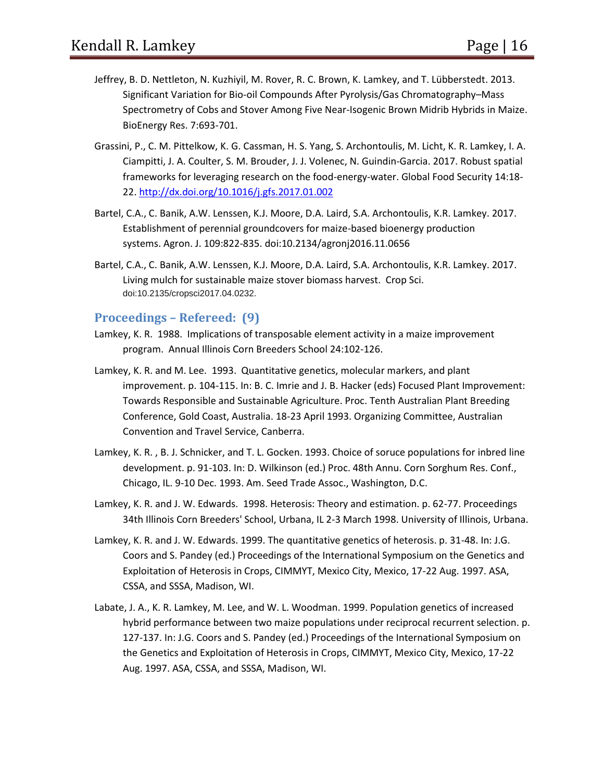- Jeffrey, B. D. Nettleton, N. Kuzhiyil, M. Rover, R. C. Brown, K. Lamkey, and T. Lübberstedt. 2013. Significant Variation for Bio-oil Compounds After Pyrolysis/Gas Chromatography–Mass Spectrometry of Cobs and Stover Among Five Near-Isogenic Brown Midrib Hybrids in Maize. BioEnergy Res. 7:693-701.
- Grassini, P., C. M. Pittelkow, K. G. Cassman, H. S. Yang, S. Archontoulis, M. Licht, K. R. Lamkey, I. A. Ciampitti, J. A. Coulter, S. M. Brouder, J. J. Volenec, N. Guindin-Garcia. 2017. Robust spatial frameworks for leveraging research on the food-energy-water. Global Food Security 14:18- 22. <http://dx.doi.org/10.1016/j.gfs.2017.01.002>
- Bartel, C.A., C. Banik, A.W. Lenssen, K.J. Moore, D.A. Laird, S.A. Archontoulis, K.R. Lamkey. 2017. Establishment of perennial groundcovers for maize-based bioenergy production systems. Agron. J. 109:822-835. doi:10.2134/agronj2016.11.0656
- Bartel, C.A., C. Banik, A.W. Lenssen, K.J. Moore, D.A. Laird, S.A. Archontoulis, K.R. Lamkey. 2017. Living mulch for sustainable maize stover biomass harvest. Crop Sci. doi:10.2135/cropsci2017.04.0232.

#### **Proceedings – Refereed: (9)**

- Lamkey, K. R. 1988. Implications of transposable element activity in a maize improvement program. Annual Illinois Corn Breeders School 24:102-126.
- Lamkey, K. R. and M. Lee. 1993. Quantitative genetics, molecular markers, and plant improvement. p. 104-115. In: B. C. Imrie and J. B. Hacker (eds) Focused Plant Improvement: Towards Responsible and Sustainable Agriculture. Proc. Tenth Australian Plant Breeding Conference, Gold Coast, Australia. 18-23 April 1993. Organizing Committee, Australian Convention and Travel Service, Canberra.
- Lamkey, K. R. , B. J. Schnicker, and T. L. Gocken. 1993. Choice of soruce populations for inbred line development. p. 91-103. In: D. Wilkinson (ed.) Proc. 48th Annu. Corn Sorghum Res. Conf., Chicago, IL. 9-10 Dec. 1993. Am. Seed Trade Assoc., Washington, D.C.
- Lamkey, K. R. and J. W. Edwards. 1998. Heterosis: Theory and estimation. p. 62-77. Proceedings 34th Illinois Corn Breeders' School, Urbana, IL 2-3 March 1998. University of Illinois, Urbana.
- Lamkey, K. R. and J. W. Edwards. 1999. The quantitative genetics of heterosis. p. 31-48. In: J.G. Coors and S. Pandey (ed.) Proceedings of the International Symposium on the Genetics and Exploitation of Heterosis in Crops, CIMMYT, Mexico City, Mexico, 17-22 Aug. 1997. ASA, CSSA, and SSSA, Madison, WI.
- Labate, J. A., K. R. Lamkey, M. Lee, and W. L. Woodman. 1999. Population genetics of increased hybrid performance between two maize populations under reciprocal recurrent selection. p. 127-137. In: J.G. Coors and S. Pandey (ed.) Proceedings of the International Symposium on the Genetics and Exploitation of Heterosis in Crops, CIMMYT, Mexico City, Mexico, 17-22 Aug. 1997. ASA, CSSA, and SSSA, Madison, WI.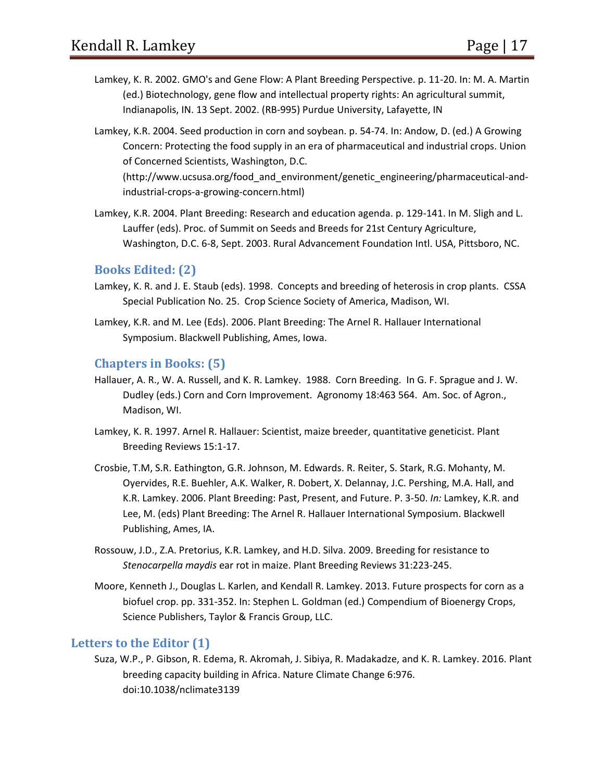- Lamkey, K. R. 2002. GMO's and Gene Flow: A Plant Breeding Perspective. p. 11-20. In: M. A. Martin (ed.) Biotechnology, gene flow and intellectual property rights: An agricultural summit, Indianapolis, IN. 13 Sept. 2002. (RB-995) Purdue University, Lafayette, IN
- Lamkey, K.R. 2004. Seed production in corn and soybean. p. 54-74. In: Andow, D. (ed.) A Growing Concern: Protecting the food supply in an era of pharmaceutical and industrial crops. Union of Concerned Scientists, Washington, D.C.

(http://www.ucsusa.org/food\_and\_environment/genetic\_engineering/pharmaceutical-andindustrial-crops-a-growing-concern.html)

Lamkey, K.R. 2004. Plant Breeding: Research and education agenda. p. 129-141. In M. Sligh and L. Lauffer (eds). Proc. of Summit on Seeds and Breeds for 21st Century Agriculture, Washington, D.C. 6-8, Sept. 2003. Rural Advancement Foundation Intl. USA, Pittsboro, NC.

#### **Books Edited: (2)**

- Lamkey, K. R. and J. E. Staub (eds). 1998. Concepts and breeding of heterosis in crop plants. CSSA Special Publication No. 25. Crop Science Society of America, Madison, WI.
- Lamkey, K.R. and M. Lee (Eds). 2006. Plant Breeding: The Arnel R. Hallauer International Symposium. Blackwell Publishing, Ames, Iowa.

#### **Chapters in Books: (5)**

- Hallauer, A. R., W. A. Russell, and K. R. Lamkey. 1988. Corn Breeding. In G. F. Sprague and J. W. Dudley (eds.) Corn and Corn Improvement. Agronomy 18:463 564. Am. Soc. of Agron., Madison, WI.
- Lamkey, K. R. 1997. Arnel R. Hallauer: Scientist, maize breeder, quantitative geneticist. Plant Breeding Reviews 15:1-17.
- Crosbie, T.M, S.R. Eathington, G.R. Johnson, M. Edwards. R. Reiter, S. Stark, R.G. Mohanty, M. Oyervides, R.E. Buehler, A.K. Walker, R. Dobert, X. Delannay, J.C. Pershing, M.A. Hall, and K.R. Lamkey. 2006. Plant Breeding: Past, Present, and Future. P. 3-50. *In:* Lamkey, K.R. and Lee, M. (eds) Plant Breeding: The Arnel R. Hallauer International Symposium. Blackwell Publishing, Ames, IA.
- Rossouw, J.D., Z.A. Pretorius, K.R. Lamkey, and H.D. Silva. 2009. Breeding for resistance to *Stenocarpella maydis* ear rot in maize. Plant Breeding Reviews 31:223-245.
- Moore, Kenneth J., Douglas L. Karlen, and Kendall R. Lamkey. 2013. Future prospects for corn as a biofuel crop. pp. 331‐352. In: Stephen L. Goldman (ed.) Compendium of Bioenergy Crops, Science Publishers, Taylor & Francis Group, LLC.

#### **Letters to the Editor (1)**

Suza, W.P., P. Gibson, R. Edema, R. Akromah, J. Sibiya, R. Madakadze, and K. R. Lamkey. 2016. Plant breeding capacity building in Africa. Nature Climate Change 6:976. doi:10.1038/nclimate3139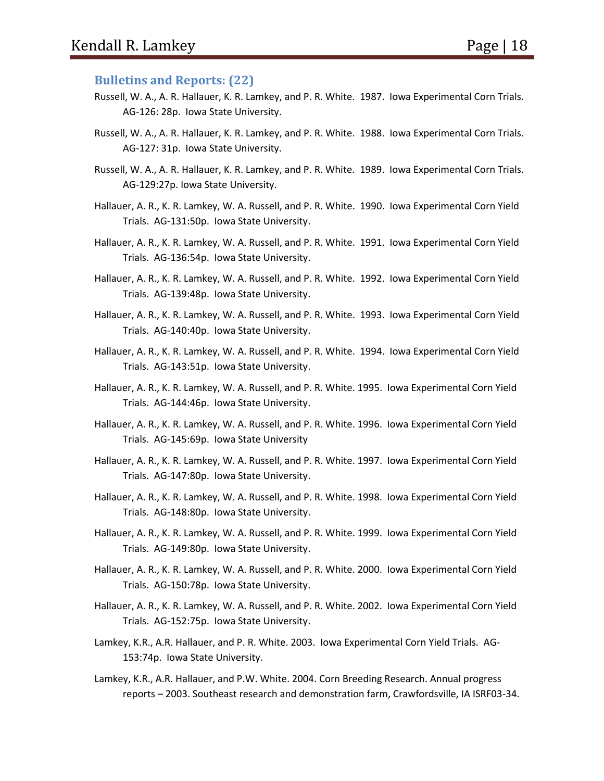#### **Bulletins and Reports: (22)**

- Russell, W. A., A. R. Hallauer, K. R. Lamkey, and P. R. White. 1987. Iowa Experimental Corn Trials. AG-126: 28p. Iowa State University.
- Russell, W. A., A. R. Hallauer, K. R. Lamkey, and P. R. White. 1988. Iowa Experimental Corn Trials. AG-127: 31p. Iowa State University.
- Russell, W. A., A. R. Hallauer, K. R. Lamkey, and P. R. White. 1989. Iowa Experimental Corn Trials. AG-129:27p. Iowa State University.
- Hallauer, A. R., K. R. Lamkey, W. A. Russell, and P. R. White. 1990. Iowa Experimental Corn Yield Trials. AG-131:50p. Iowa State University.
- Hallauer, A. R., K. R. Lamkey, W. A. Russell, and P. R. White. 1991. Iowa Experimental Corn Yield Trials. AG-136:54p. Iowa State University.
- Hallauer, A. R., K. R. Lamkey, W. A. Russell, and P. R. White. 1992. Iowa Experimental Corn Yield Trials. AG-139:48p. Iowa State University.
- Hallauer, A. R., K. R. Lamkey, W. A. Russell, and P. R. White. 1993. Iowa Experimental Corn Yield Trials. AG-140:40p. Iowa State University.
- Hallauer, A. R., K. R. Lamkey, W. A. Russell, and P. R. White. 1994. Iowa Experimental Corn Yield Trials. AG-143:51p. Iowa State University.
- Hallauer, A. R., K. R. Lamkey, W. A. Russell, and P. R. White. 1995. Iowa Experimental Corn Yield Trials. AG-144:46p. Iowa State University.
- Hallauer, A. R., K. R. Lamkey, W. A. Russell, and P. R. White. 1996. Iowa Experimental Corn Yield Trials. AG-145:69p. Iowa State University
- Hallauer, A. R., K. R. Lamkey, W. A. Russell, and P. R. White. 1997. Iowa Experimental Corn Yield Trials. AG-147:80p. Iowa State University.
- Hallauer, A. R., K. R. Lamkey, W. A. Russell, and P. R. White. 1998. Iowa Experimental Corn Yield Trials. AG-148:80p. Iowa State University.
- Hallauer, A. R., K. R. Lamkey, W. A. Russell, and P. R. White. 1999. Iowa Experimental Corn Yield Trials. AG-149:80p. Iowa State University.
- Hallauer, A. R., K. R. Lamkey, W. A. Russell, and P. R. White. 2000. Iowa Experimental Corn Yield Trials. AG-150:78p. Iowa State University.
- Hallauer, A. R., K. R. Lamkey, W. A. Russell, and P. R. White. 2002. Iowa Experimental Corn Yield Trials. AG-152:75p. Iowa State University.
- Lamkey, K.R., A.R. Hallauer, and P. R. White. 2003. Iowa Experimental Corn Yield Trials. AG-153:74p. Iowa State University.
- Lamkey, K.R., A.R. Hallauer, and P.W. White. 2004. Corn Breeding Research. Annual progress reports – 2003. Southeast research and demonstration farm, Crawfordsville, IA ISRF03-34.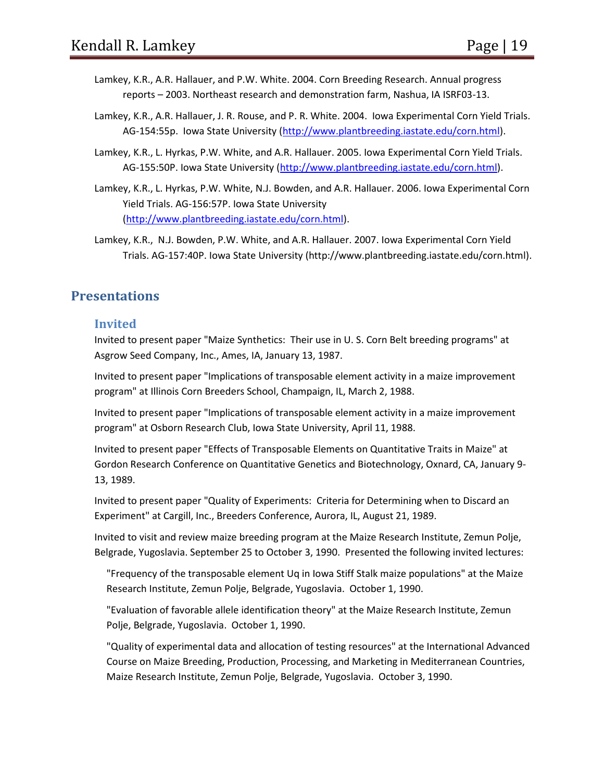- Lamkey, K.R., A.R. Hallauer, and P.W. White. 2004. Corn Breeding Research. Annual progress reports – 2003. Northeast research and demonstration farm, Nashua, IA ISRF03-13.
- Lamkey, K.R., A.R. Hallauer, J. R. Rouse, and P. R. White. 2004. Iowa Experimental Corn Yield Trials. AG-154:55p. Iowa State University [\(http://www.plantbreeding.iastate.edu/corn.html\)](http://www.plantbreeding.iastate.edu/corn.html).
- Lamkey, K.R., L. Hyrkas, P.W. White, and A.R. Hallauer. 2005. Iowa Experimental Corn Yield Trials. AG-155:50P. Iowa State University [\(http://www.plantbreeding.iastate.edu/corn.html\)](http://www.plantbreeding.iastate.edu/corn.html).
- Lamkey, K.R., L. Hyrkas, P.W. White, N.J. Bowden, and A.R. Hallauer. 2006. Iowa Experimental Corn Yield Trials. AG-156:57P. Iowa State University [\(http://www.plantbreeding.iastate.edu/corn.html\)](http://www.plantbreeding.iastate.edu/corn.html).
- Lamkey, K.R., N.J. Bowden, P.W. White, and A.R. Hallauer. 2007. Iowa Experimental Corn Yield Trials. AG-157:40P. Iowa State University (http://www.plantbreeding.iastate.edu/corn.html).

# **Presentations**

#### **Invited**

Invited to present paper "Maize Synthetics: Their use in U. S. Corn Belt breeding programs" at Asgrow Seed Company, Inc., Ames, IA, January 13, 1987.

Invited to present paper "Implications of transposable element activity in a maize improvement program" at Illinois Corn Breeders School, Champaign, IL, March 2, 1988.

Invited to present paper "Implications of transposable element activity in a maize improvement program" at Osborn Research Club, Iowa State University, April 11, 1988.

Invited to present paper "Effects of Transposable Elements on Quantitative Traits in Maize" at Gordon Research Conference on Quantitative Genetics and Biotechnology, Oxnard, CA, January 9- 13, 1989.

Invited to present paper "Quality of Experiments: Criteria for Determining when to Discard an Experiment" at Cargill, Inc., Breeders Conference, Aurora, IL, August 21, 1989.

Invited to visit and review maize breeding program at the Maize Research Institute, Zemun Polje, Belgrade, Yugoslavia. September 25 to October 3, 1990. Presented the following invited lectures:

"Frequency of the transposable element Uq in Iowa Stiff Stalk maize populations" at the Maize Research Institute, Zemun Polje, Belgrade, Yugoslavia. October 1, 1990.

"Evaluation of favorable allele identification theory" at the Maize Research Institute, Zemun Polje, Belgrade, Yugoslavia. October 1, 1990.

"Quality of experimental data and allocation of testing resources" at the International Advanced Course on Maize Breeding, Production, Processing, and Marketing in Mediterranean Countries, Maize Research Institute, Zemun Polje, Belgrade, Yugoslavia. October 3, 1990.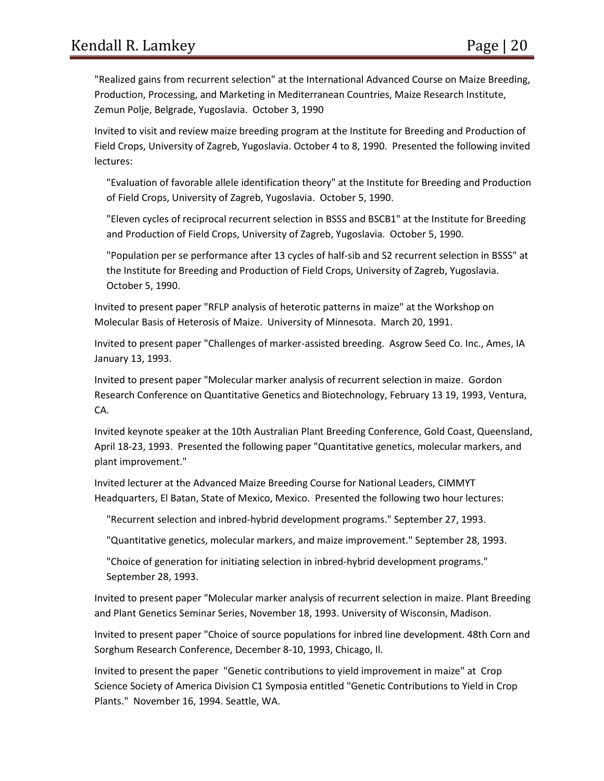"Realized gains from recurrent selection" at the International Advanced Course on Maize Breeding, Production, Processing, and Marketing in Mediterranean Countries, Maize Research Institute, Zemun Polje, Belgrade, Yugoslavia. October 3, 1990

Invited to visit and review maize breeding program at the Institute for Breeding and Production of Field Crops, University of Zagreb, Yugoslavia. October 4 to 8, 1990. Presented the following invited lectures:

"Evaluation of favorable allele identification theory" at the Institute for Breeding and Production of Field Crops, University of Zagreb, Yugoslavia. October 5, 1990.

"Eleven cycles of reciprocal recurrent selection in BSSS and BSCB1" at the Institute for Breeding and Production of Field Crops, University of Zagreb, Yugoslavia. October 5, 1990.

"Population per se performance after 13 cycles of half-sib and S2 recurrent selection in BSSS" at the Institute for Breeding and Production of Field Crops, University of Zagreb, Yugoslavia. October 5, 1990.

Invited to present paper "RFLP analysis of heterotic patterns in maize" at the Workshop on Molecular Basis of Heterosis of Maize. University of Minnesota. March 20, 1991.

Invited to present paper "Challenges of marker-assisted breeding. Asgrow Seed Co. Inc., Ames, IA January 13, 1993.

Invited to present paper "Molecular marker analysis of recurrent selection in maize. Gordon Research Conference on Quantitative Genetics and Biotechnology, February 13 19, 1993, Ventura, CA.

Invited keynote speaker at the 10th Australian Plant Breeding Conference, Gold Coast, Queensland, April 18-23, 1993. Presented the following paper "Quantitative genetics, molecular markers, and plant improvement."

Invited lecturer at the Advanced Maize Breeding Course for National Leaders, CIMMYT Headquarters, El Batan, State of Mexico, Mexico. Presented the following two hour lectures:

"Recurrent selection and inbred-hybrid development programs." September 27, 1993.

"Quantitative genetics, molecular markers, and maize improvement." September 28, 1993.

"Choice of generation for initiating selection in inbred-hybrid development programs." September 28, 1993.

Invited to present paper "Molecular marker analysis of recurrent selection in maize. Plant Breeding and Plant Genetics Seminar Series, November 18, 1993. University of Wisconsin, Madison.

Invited to present paper "Choice of source populations for inbred line development. 48th Corn and Sorghum Research Conference, December 8-10, 1993, Chicago, Il.

Invited to present the paper "Genetic contributions to yield improvement in maize" at Crop Science Society of America Division C1 Symposia entitled "Genetic Contributions to Yield in Crop Plants." November 16, 1994. Seattle, WA.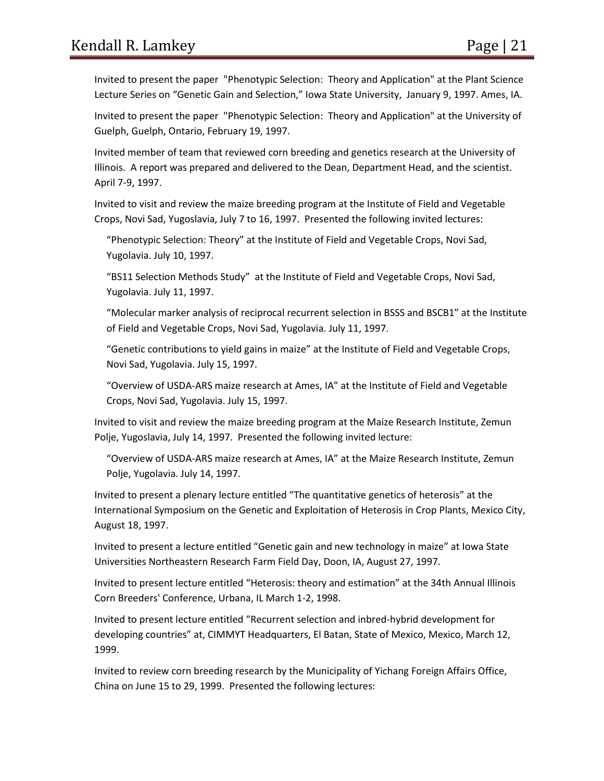Invited to present the paper "Phenotypic Selection: Theory and Application" at the Plant Science Lecture Series on "Genetic Gain and Selection," Iowa State University, January 9, 1997. Ames, IA.

Invited to present the paper "Phenotypic Selection: Theory and Application" at the University of Guelph, Guelph, Ontario, February 19, 1997.

Invited member of team that reviewed corn breeding and genetics research at the University of Illinois. A report was prepared and delivered to the Dean, Department Head, and the scientist. April 7-9, 1997.

Invited to visit and review the maize breeding program at the Institute of Field and Vegetable Crops, Novi Sad, Yugoslavia, July 7 to 16, 1997. Presented the following invited lectures:

"Phenotypic Selection: Theory" at the Institute of Field and Vegetable Crops, Novi Sad, Yugolavia. July 10, 1997.

"BS11 Selection Methods Study" at the Institute of Field and Vegetable Crops, Novi Sad, Yugolavia. July 11, 1997.

"Molecular marker analysis of reciprocal recurrent selection in BSSS and BSCB1" at the Institute of Field and Vegetable Crops, Novi Sad, Yugolavia. July 11, 1997.

"Genetic contributions to yield gains in maize" at the Institute of Field and Vegetable Crops, Novi Sad, Yugolavia. July 15, 1997.

"Overview of USDA-ARS maize research at Ames, IA" at the Institute of Field and Vegetable Crops, Novi Sad, Yugolavia. July 15, 1997.

Invited to visit and review the maize breeding program at the Maize Research Institute, Zemun Polje, Yugoslavia, July 14, 1997. Presented the following invited lecture:

"Overview of USDA-ARS maize research at Ames, IA" at the Maize Research Institute, Zemun Polje, Yugolavia. July 14, 1997.

Invited to present a plenary lecture entitled "The quantitative genetics of heterosis" at the International Symposium on the Genetic and Exploitation of Heterosis in Crop Plants, Mexico City, August 18, 1997.

Invited to present a lecture entitled "Genetic gain and new technology in maize" at Iowa State Universities Northeastern Research Farm Field Day, Doon, IA, August 27, 1997.

Invited to present lecture entitled "Heterosis: theory and estimation" at the 34th Annual Illinois Corn Breeders' Conference, Urbana, IL March 1-2, 1998.

Invited to present lecture entitled "Recurrent selection and inbred-hybrid development for developing countries" at, CIMMYT Headquarters, El Batan, State of Mexico, Mexico, March 12, 1999.

Invited to review corn breeding research by the Municipality of Yichang Foreign Affairs Office, China on June 15 to 29, 1999. Presented the following lectures: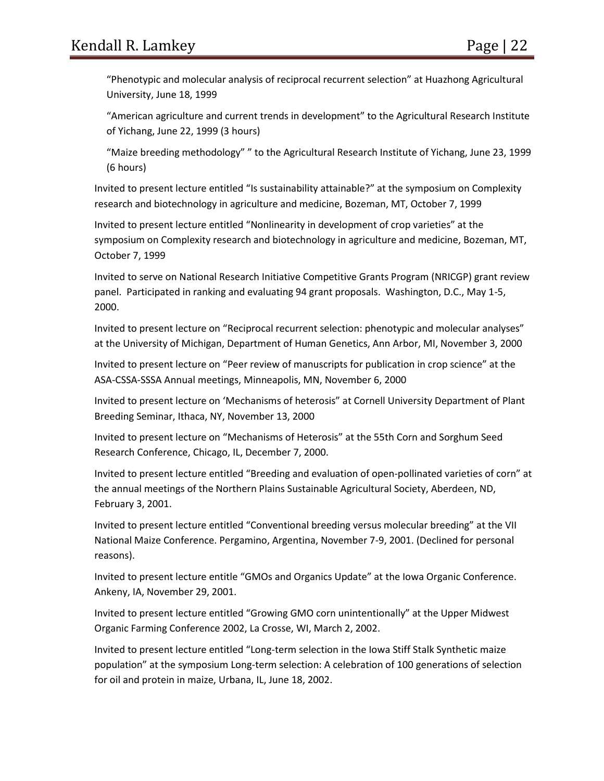"Phenotypic and molecular analysis of reciprocal recurrent selection" at Huazhong Agricultural University, June 18, 1999

"American agriculture and current trends in development" to the Agricultural Research Institute of Yichang, June 22, 1999 (3 hours)

"Maize breeding methodology" " to the Agricultural Research Institute of Yichang, June 23, 1999 (6 hours)

Invited to present lecture entitled "Is sustainability attainable?" at the symposium on Complexity research and biotechnology in agriculture and medicine, Bozeman, MT, October 7, 1999

Invited to present lecture entitled "Nonlinearity in development of crop varieties" at the symposium on Complexity research and biotechnology in agriculture and medicine, Bozeman, MT, October 7, 1999

Invited to serve on National Research Initiative Competitive Grants Program (NRICGP) grant review panel. Participated in ranking and evaluating 94 grant proposals. Washington, D.C., May 1-5, 2000.

Invited to present lecture on "Reciprocal recurrent selection: phenotypic and molecular analyses" at the University of Michigan, Department of Human Genetics, Ann Arbor, MI, November 3, 2000

Invited to present lecture on "Peer review of manuscripts for publication in crop science" at the ASA-CSSA-SSSA Annual meetings, Minneapolis, MN, November 6, 2000

Invited to present lecture on 'Mechanisms of heterosis" at Cornell University Department of Plant Breeding Seminar, Ithaca, NY, November 13, 2000

Invited to present lecture on "Mechanisms of Heterosis" at the 55th Corn and Sorghum Seed Research Conference, Chicago, IL, December 7, 2000.

Invited to present lecture entitled "Breeding and evaluation of open-pollinated varieties of corn" at the annual meetings of the Northern Plains Sustainable Agricultural Society, Aberdeen, ND, February 3, 2001.

Invited to present lecture entitled "Conventional breeding versus molecular breeding" at the VII National Maize Conference. Pergamino, Argentina, November 7-9, 2001. (Declined for personal reasons).

Invited to present lecture entitle "GMOs and Organics Update" at the Iowa Organic Conference. Ankeny, IA, November 29, 2001.

Invited to present lecture entitled "Growing GMO corn unintentionally" at the Upper Midwest Organic Farming Conference 2002, La Crosse, WI, March 2, 2002.

Invited to present lecture entitled "Long-term selection in the Iowa Stiff Stalk Synthetic maize population" at the symposium Long-term selection: A celebration of 100 generations of selection for oil and protein in maize, Urbana, IL, June 18, 2002.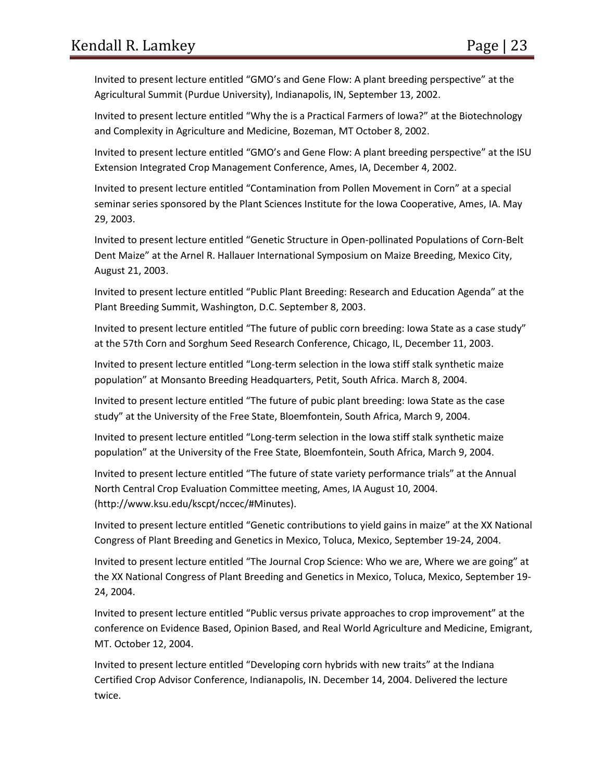Invited to present lecture entitled "GMO's and Gene Flow: A plant breeding perspective" at the Agricultural Summit (Purdue University), Indianapolis, IN, September 13, 2002.

Invited to present lecture entitled "Why the is a Practical Farmers of Iowa?" at the Biotechnology and Complexity in Agriculture and Medicine, Bozeman, MT October 8, 2002.

Invited to present lecture entitled "GMO's and Gene Flow: A plant breeding perspective" at the ISU Extension Integrated Crop Management Conference, Ames, IA, December 4, 2002.

Invited to present lecture entitled "Contamination from Pollen Movement in Corn" at a special seminar series sponsored by the Plant Sciences Institute for the Iowa Cooperative, Ames, IA. May 29, 2003.

Invited to present lecture entitled "Genetic Structure in Open-pollinated Populations of Corn-Belt Dent Maize" at the Arnel R. Hallauer International Symposium on Maize Breeding, Mexico City, August 21, 2003.

Invited to present lecture entitled "Public Plant Breeding: Research and Education Agenda" at the Plant Breeding Summit, Washington, D.C. September 8, 2003.

Invited to present lecture entitled "The future of public corn breeding: Iowa State as a case study" at the 57th Corn and Sorghum Seed Research Conference, Chicago, IL, December 11, 2003.

Invited to present lecture entitled "Long-term selection in the Iowa stiff stalk synthetic maize population" at Monsanto Breeding Headquarters, Petit, South Africa. March 8, 2004.

Invited to present lecture entitled "The future of pubic plant breeding: Iowa State as the case study" at the University of the Free State, Bloemfontein, South Africa, March 9, 2004.

Invited to present lecture entitled "Long-term selection in the Iowa stiff stalk synthetic maize population" at the University of the Free State, Bloemfontein, South Africa, March 9, 2004.

Invited to present lecture entitled "The future of state variety performance trials" at the Annual North Central Crop Evaluation Committee meeting, Ames, IA August 10, 2004. (http://www.ksu.edu/kscpt/nccec/#Minutes).

Invited to present lecture entitled "Genetic contributions to yield gains in maize" at the XX National Congress of Plant Breeding and Genetics in Mexico, Toluca, Mexico, September 19-24, 2004.

Invited to present lecture entitled "The Journal Crop Science: Who we are, Where we are going" at the XX National Congress of Plant Breeding and Genetics in Mexico, Toluca, Mexico, September 19- 24, 2004.

Invited to present lecture entitled "Public versus private approaches to crop improvement" at the conference on Evidence Based, Opinion Based, and Real World Agriculture and Medicine, Emigrant, MT. October 12, 2004.

Invited to present lecture entitled "Developing corn hybrids with new traits" at the Indiana Certified Crop Advisor Conference, Indianapolis, IN. December 14, 2004. Delivered the lecture twice.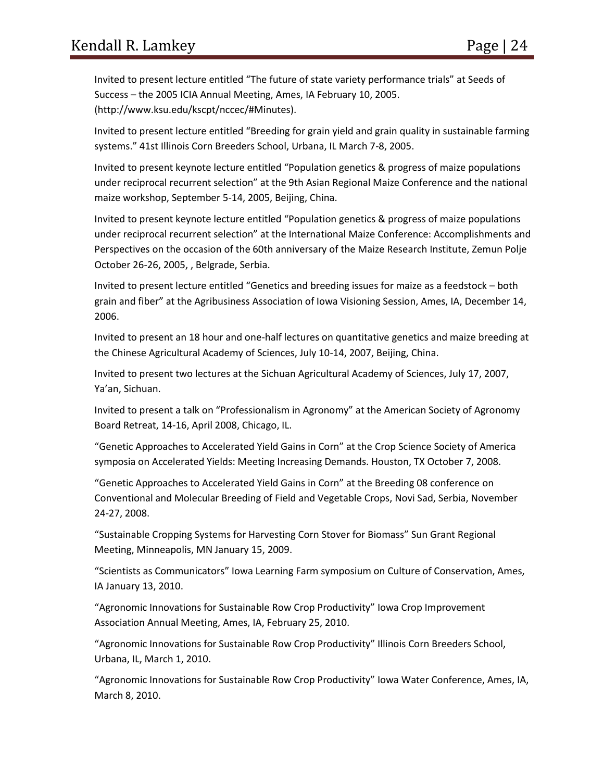Invited to present lecture entitled "The future of state variety performance trials" at Seeds of Success – the 2005 ICIA Annual Meeting, Ames, IA February 10, 2005. (http://www.ksu.edu/kscpt/nccec/#Minutes).

Invited to present lecture entitled "Breeding for grain yield and grain quality in sustainable farming systems." 41st Illinois Corn Breeders School, Urbana, IL March 7-8, 2005.

Invited to present keynote lecture entitled "Population genetics & progress of maize populations under reciprocal recurrent selection" at the 9th Asian Regional Maize Conference and the national maize workshop, September 5-14, 2005, Beijing, China.

Invited to present keynote lecture entitled "Population genetics & progress of maize populations under reciprocal recurrent selection" at the International Maize Conference: Accomplishments and Perspectives on the occasion of the 60th anniversary of the Maize Research Institute, Zemun Polje October 26-26, 2005, , Belgrade, Serbia.

Invited to present lecture entitled "Genetics and breeding issues for maize as a feedstock – both grain and fiber" at the Agribusiness Association of Iowa Visioning Session, Ames, IA, December 14, 2006.

Invited to present an 18 hour and one-half lectures on quantitative genetics and maize breeding at the Chinese Agricultural Academy of Sciences, July 10-14, 2007, Beijing, China.

Invited to present two lectures at the Sichuan Agricultural Academy of Sciences, July 17, 2007, Ya'an, Sichuan.

Invited to present a talk on "Professionalism in Agronomy" at the American Society of Agronomy Board Retreat, 14-16, April 2008, Chicago, IL.

"Genetic Approaches to Accelerated Yield Gains in Corn" at the Crop Science Society of America symposia on Accelerated Yields: Meeting Increasing Demands. Houston, TX October 7, 2008.

"Genetic Approaches to Accelerated Yield Gains in Corn" at the Breeding 08 conference on Conventional and Molecular Breeding of Field and Vegetable Crops, Novi Sad, Serbia, November 24-27, 2008.

"Sustainable Cropping Systems for Harvesting Corn Stover for Biomass" Sun Grant Regional Meeting, Minneapolis, MN January 15, 2009.

"Scientists as Communicators" Iowa Learning Farm symposium on Culture of Conservation, Ames, IA January 13, 2010.

"Agronomic Innovations for Sustainable Row Crop Productivity" Iowa Crop Improvement Association Annual Meeting, Ames, IA, February 25, 2010.

"Agronomic Innovations for Sustainable Row Crop Productivity" Illinois Corn Breeders School, Urbana, IL, March 1, 2010.

"Agronomic Innovations for Sustainable Row Crop Productivity" Iowa Water Conference, Ames, IA, March 8, 2010.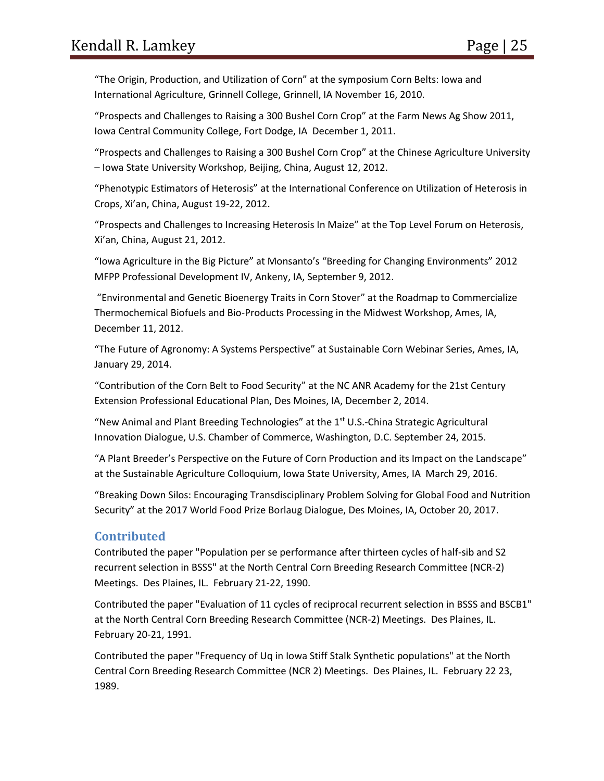"The Origin, Production, and Utilization of Corn" at the symposium Corn Belts: Iowa and International Agriculture, Grinnell College, Grinnell, IA November 16, 2010.

"Prospects and Challenges to Raising a 300 Bushel Corn Crop" at the Farm News Ag Show 2011, Iowa Central Community College, Fort Dodge, IA December 1, 2011.

"Prospects and Challenges to Raising a 300 Bushel Corn Crop" at the Chinese Agriculture University – Iowa State University Workshop, Beijing, China, August 12, 2012.

"Phenotypic Estimators of Heterosis" at the International Conference on Utilization of Heterosis in Crops, Xi'an, China, August 19-22, 2012.

"Prospects and Challenges to Increasing Heterosis In Maize" at the Top Level Forum on Heterosis, Xi'an, China, August 21, 2012.

"Iowa Agriculture in the Big Picture" at Monsanto's "Breeding for Changing Environments" 2012 MFPP Professional Development IV, Ankeny, IA, September 9, 2012.

"Environmental and Genetic Bioenergy Traits in Corn Stover" at the Roadmap to Commercialize Thermochemical Biofuels and Bio-Products Processing in the Midwest Workshop, Ames, IA, December 11, 2012.

"The Future of Agronomy: A Systems Perspective" at Sustainable Corn Webinar Series, Ames, IA, January 29, 2014.

"Contribution of the Corn Belt to Food Security" at the NC ANR Academy for the 21st Century Extension Professional Educational Plan, Des Moines, IA, December 2, 2014.

"New Animal and Plant Breeding Technologies" at the  $1<sup>st</sup>$  U.S.-China Strategic Agricultural Innovation Dialogue, U.S. Chamber of Commerce, Washington, D.C. September 24, 2015.

"A Plant Breeder's Perspective on the Future of Corn Production and its Impact on the Landscape" at the Sustainable Agriculture Colloquium, Iowa State University, Ames, IA March 29, 2016.

"Breaking Down Silos: Encouraging Transdisciplinary Problem Solving for Global Food and Nutrition Security" at the 2017 World Food Prize Borlaug Dialogue, Des Moines, IA, October 20, 2017.

# **Contributed**

Contributed the paper "Population per se performance after thirteen cycles of half-sib and S2 recurrent selection in BSSS" at the North Central Corn Breeding Research Committee (NCR-2) Meetings. Des Plaines, IL. February 21-22, 1990.

Contributed the paper "Evaluation of 11 cycles of reciprocal recurrent selection in BSSS and BSCB1" at the North Central Corn Breeding Research Committee (NCR-2) Meetings. Des Plaines, IL. February 20-21, 1991.

Contributed the paper "Frequency of Uq in Iowa Stiff Stalk Synthetic populations" at the North Central Corn Breeding Research Committee (NCR 2) Meetings. Des Plaines, IL. February 22 23, 1989.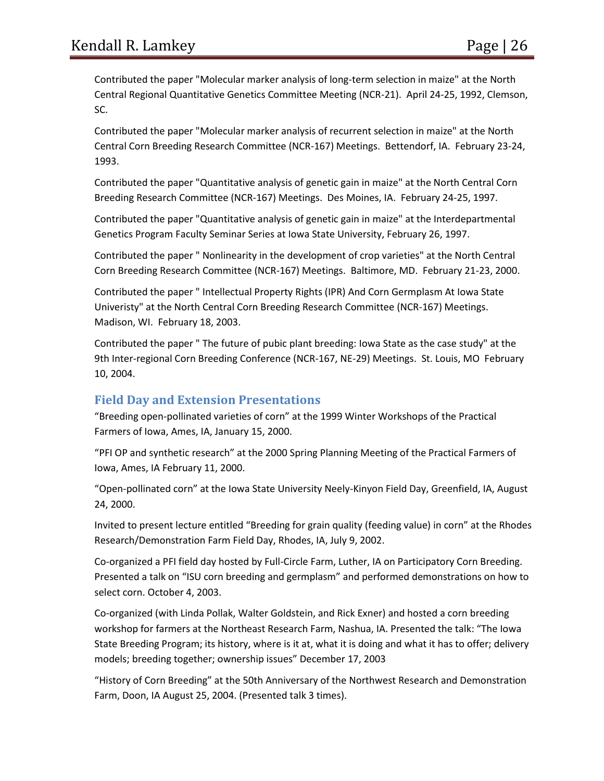Contributed the paper "Molecular marker analysis of long-term selection in maize" at the North Central Regional Quantitative Genetics Committee Meeting (NCR-21). April 24-25, 1992, Clemson, SC.

Contributed the paper "Molecular marker analysis of recurrent selection in maize" at the North Central Corn Breeding Research Committee (NCR-167) Meetings. Bettendorf, IA. February 23-24, 1993.

Contributed the paper "Quantitative analysis of genetic gain in maize" at the North Central Corn Breeding Research Committee (NCR-167) Meetings. Des Moines, IA. February 24-25, 1997.

Contributed the paper "Quantitative analysis of genetic gain in maize" at the Interdepartmental Genetics Program Faculty Seminar Series at Iowa State University, February 26, 1997.

Contributed the paper " Nonlinearity in the development of crop varieties" at the North Central Corn Breeding Research Committee (NCR-167) Meetings. Baltimore, MD. February 21-23, 2000.

Contributed the paper " Intellectual Property Rights (IPR) And Corn Germplasm At Iowa State Univeristy" at the North Central Corn Breeding Research Committee (NCR-167) Meetings. Madison, WI. February 18, 2003.

Contributed the paper " The future of pubic plant breeding: Iowa State as the case study" at the 9th Inter-regional Corn Breeding Conference (NCR-167, NE-29) Meetings. St. Louis, MO February 10, 2004.

# **Field Day and Extension Presentations**

"Breeding open-pollinated varieties of corn" at the 1999 Winter Workshops of the Practical Farmers of Iowa, Ames, IA, January 15, 2000.

"PFI OP and synthetic research" at the 2000 Spring Planning Meeting of the Practical Farmers of Iowa, Ames, IA February 11, 2000.

"Open-pollinated corn" at the Iowa State University Neely-Kinyon Field Day, Greenfield, IA, August 24, 2000.

Invited to present lecture entitled "Breeding for grain quality (feeding value) in corn" at the Rhodes Research/Demonstration Farm Field Day, Rhodes, IA, July 9, 2002.

Co-organized a PFI field day hosted by Full-Circle Farm, Luther, IA on Participatory Corn Breeding. Presented a talk on "ISU corn breeding and germplasm" and performed demonstrations on how to select corn. October 4, 2003.

Co-organized (with Linda Pollak, Walter Goldstein, and Rick Exner) and hosted a corn breeding workshop for farmers at the Northeast Research Farm, Nashua, IA. Presented the talk: "The Iowa State Breeding Program; its history, where is it at, what it is doing and what it has to offer; delivery models; breeding together; ownership issues" December 17, 2003

"History of Corn Breeding" at the 50th Anniversary of the Northwest Research and Demonstration Farm, Doon, IA August 25, 2004. (Presented talk 3 times).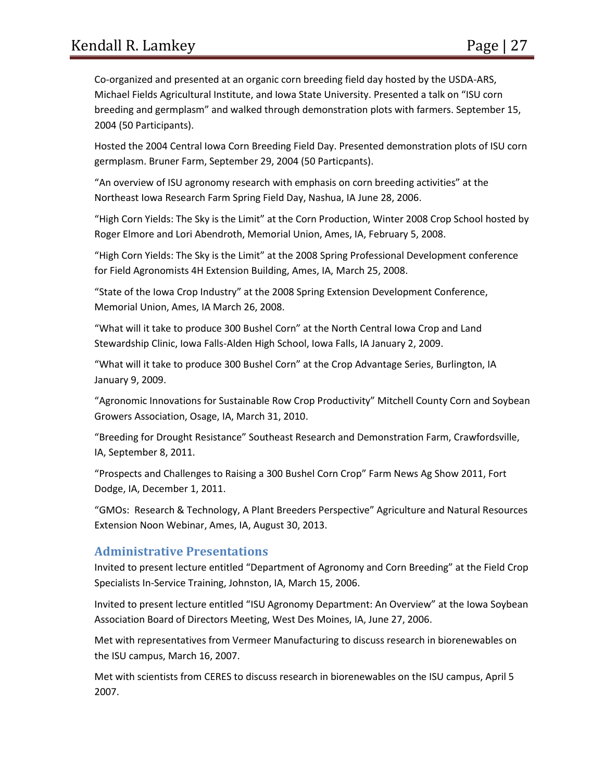Co-organized and presented at an organic corn breeding field day hosted by the USDA-ARS, Michael Fields Agricultural Institute, and Iowa State University. Presented a talk on "ISU corn breeding and germplasm" and walked through demonstration plots with farmers. September 15, 2004 (50 Participants).

Hosted the 2004 Central Iowa Corn Breeding Field Day. Presented demonstration plots of ISU corn germplasm. Bruner Farm, September 29, 2004 (50 Particpants).

"An overview of ISU agronomy research with emphasis on corn breeding activities" at the Northeast Iowa Research Farm Spring Field Day, Nashua, IA June 28, 2006.

"High Corn Yields: The Sky is the Limit" at the Corn Production, Winter 2008 Crop School hosted by Roger Elmore and Lori Abendroth, Memorial Union, Ames, IA, February 5, 2008.

"High Corn Yields: The Sky is the Limit" at the 2008 Spring Professional Development conference for Field Agronomists 4H Extension Building, Ames, IA, March 25, 2008.

"State of the Iowa Crop Industry" at the 2008 Spring Extension Development Conference, Memorial Union, Ames, IA March 26, 2008.

"What will it take to produce 300 Bushel Corn" at the North Central Iowa Crop and Land Stewardship Clinic, Iowa Falls-Alden High School, Iowa Falls, IA January 2, 2009.

"What will it take to produce 300 Bushel Corn" at the Crop Advantage Series, Burlington, IA January 9, 2009.

"Agronomic Innovations for Sustainable Row Crop Productivity" Mitchell County Corn and Soybean Growers Association, Osage, IA, March 31, 2010.

"Breeding for Drought Resistance" Southeast Research and Demonstration Farm, Crawfordsville, IA, September 8, 2011.

"Prospects and Challenges to Raising a 300 Bushel Corn Crop" Farm News Ag Show 2011, Fort Dodge, IA, December 1, 2011.

"GMOs: Research & Technology, A Plant Breeders Perspective" Agriculture and Natural Resources Extension Noon Webinar, Ames, IA, August 30, 2013.

#### **Administrative Presentations**

Invited to present lecture entitled "Department of Agronomy and Corn Breeding" at the Field Crop Specialists In-Service Training, Johnston, IA, March 15, 2006.

Invited to present lecture entitled "ISU Agronomy Department: An Overview" at the Iowa Soybean Association Board of Directors Meeting, West Des Moines, IA, June 27, 2006.

Met with representatives from Vermeer Manufacturing to discuss research in biorenewables on the ISU campus, March 16, 2007.

Met with scientists from CERES to discuss research in biorenewables on the ISU campus, April 5 2007.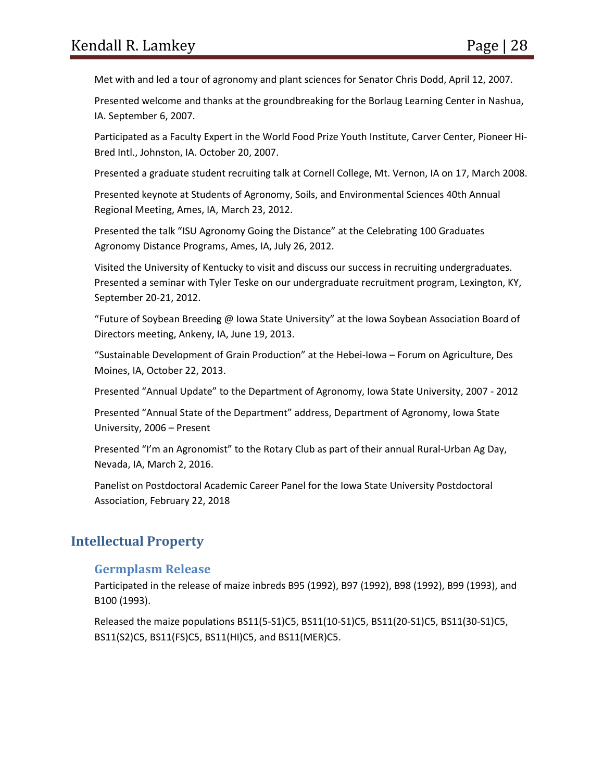Met with and led a tour of agronomy and plant sciences for Senator Chris Dodd, April 12, 2007.

Presented welcome and thanks at the groundbreaking for the Borlaug Learning Center in Nashua, IA. September 6, 2007.

Participated as a Faculty Expert in the World Food Prize Youth Institute, Carver Center, Pioneer Hi-Bred Intl., Johnston, IA. October 20, 2007.

Presented a graduate student recruiting talk at Cornell College, Mt. Vernon, IA on 17, March 2008.

Presented keynote at Students of Agronomy, Soils, and Environmental Sciences 40th Annual Regional Meeting, Ames, IA, March 23, 2012.

Presented the talk "ISU Agronomy Going the Distance" at the Celebrating 100 Graduates Agronomy Distance Programs, Ames, IA, July 26, 2012.

Visited the University of Kentucky to visit and discuss our success in recruiting undergraduates. Presented a seminar with Tyler Teske on our undergraduate recruitment program, Lexington, KY, September 20-21, 2012.

"Future of Soybean Breeding @ Iowa State University" at the Iowa Soybean Association Board of Directors meeting, Ankeny, IA, June 19, 2013.

"Sustainable Development of Grain Production" at the Hebei-Iowa – Forum on Agriculture, Des Moines, IA, October 22, 2013.

Presented "Annual Update" to the Department of Agronomy, Iowa State University, 2007 - 2012

Presented "Annual State of the Department" address, Department of Agronomy, Iowa State University, 2006 – Present

Presented "I'm an Agronomist" to the Rotary Club as part of their annual Rural-Urban Ag Day, Nevada, IA, March 2, 2016.

Panelist on Postdoctoral Academic Career Panel for the Iowa State University Postdoctoral Association, February 22, 2018

# **Intellectual Property**

#### **Germplasm Release**

Participated in the release of maize inbreds B95 (1992), B97 (1992), B98 (1992), B99 (1993), and B100 (1993).

Released the maize populations BS11(5-S1)C5, BS11(10-S1)C5, BS11(20-S1)C5, BS11(30-S1)C5, BS11(S2)C5, BS11(FS)C5, BS11(HI)C5, and BS11(MER)C5.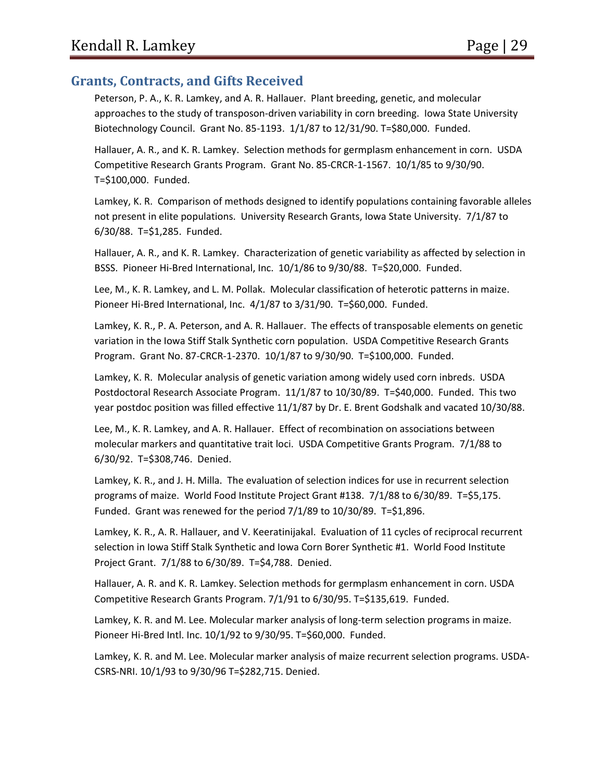## **Grants, Contracts, and Gifts Received**

Peterson, P. A., K. R. Lamkey, and A. R. Hallauer. Plant breeding, genetic, and molecular approaches to the study of transposon-driven variability in corn breeding. Iowa State University Biotechnology Council. Grant No. 85-1193. 1/1/87 to 12/31/90. T=\$80,000. Funded.

Hallauer, A. R., and K. R. Lamkey. Selection methods for germplasm enhancement in corn. USDA Competitive Research Grants Program. Grant No. 85-CRCR-1-1567. 10/1/85 to 9/30/90. T=\$100,000. Funded.

Lamkey, K. R. Comparison of methods designed to identify populations containing favorable alleles not present in elite populations. University Research Grants, Iowa State University. 7/1/87 to 6/30/88. T=\$1,285. Funded.

Hallauer, A. R., and K. R. Lamkey. Characterization of genetic variability as affected by selection in BSSS. Pioneer Hi-Bred International, Inc. 10/1/86 to 9/30/88. T=\$20,000. Funded.

Lee, M., K. R. Lamkey, and L. M. Pollak. Molecular classification of heterotic patterns in maize. Pioneer Hi-Bred International, Inc. 4/1/87 to 3/31/90. T=\$60,000. Funded.

Lamkey, K. R., P. A. Peterson, and A. R. Hallauer. The effects of transposable elements on genetic variation in the Iowa Stiff Stalk Synthetic corn population. USDA Competitive Research Grants Program. Grant No. 87-CRCR-1-2370. 10/1/87 to 9/30/90. T=\$100,000. Funded.

Lamkey, K. R. Molecular analysis of genetic variation among widely used corn inbreds. USDA Postdoctoral Research Associate Program. 11/1/87 to 10/30/89. T=\$40,000. Funded. This two year postdoc position was filled effective 11/1/87 by Dr. E. Brent Godshalk and vacated 10/30/88.

Lee, M., K. R. Lamkey, and A. R. Hallauer. Effect of recombination on associations between molecular markers and quantitative trait loci. USDA Competitive Grants Program. 7/1/88 to 6/30/92. T=\$308,746. Denied.

Lamkey, K. R., and J. H. Milla. The evaluation of selection indices for use in recurrent selection programs of maize. World Food Institute Project Grant #138. 7/1/88 to 6/30/89. T=\$5,175. Funded. Grant was renewed for the period 7/1/89 to 10/30/89. T=\$1,896.

Lamkey, K. R., A. R. Hallauer, and V. Keeratinijakal. Evaluation of 11 cycles of reciprocal recurrent selection in Iowa Stiff Stalk Synthetic and Iowa Corn Borer Synthetic #1. World Food Institute Project Grant. 7/1/88 to 6/30/89. T=\$4,788. Denied.

Hallauer, A. R. and K. R. Lamkey. Selection methods for germplasm enhancement in corn. USDA Competitive Research Grants Program. 7/1/91 to 6/30/95. T=\$135,619. Funded.

Lamkey, K. R. and M. Lee. Molecular marker analysis of long-term selection programs in maize. Pioneer Hi-Bred Intl. Inc. 10/1/92 to 9/30/95. T=\$60,000. Funded.

Lamkey, K. R. and M. Lee. Molecular marker analysis of maize recurrent selection programs. USDA-CSRS-NRI. 10/1/93 to 9/30/96 T=\$282,715. Denied.